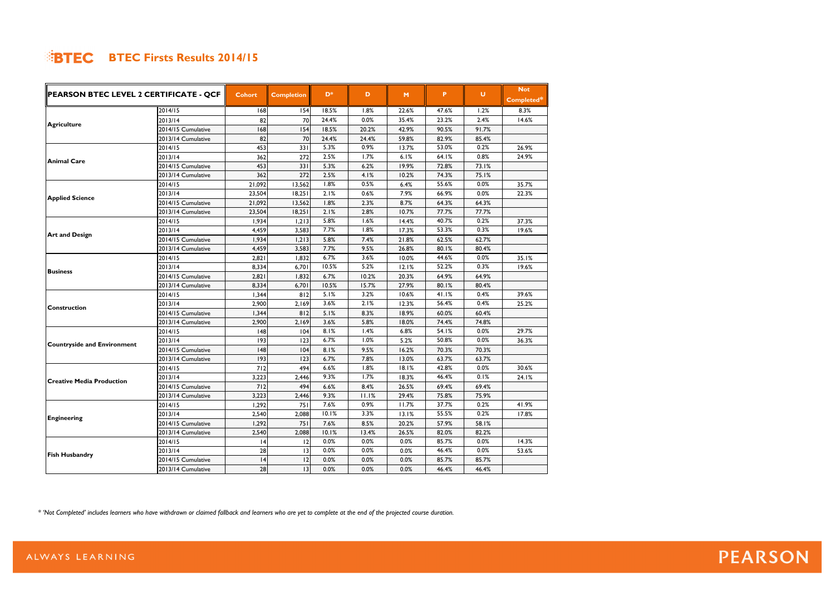| PEARSON BTEC LEVEL 2 CERTIFICATE - QCF   |                    |               |                   |                |       |       |       |        | <b>Not</b> |
|------------------------------------------|--------------------|---------------|-------------------|----------------|-------|-------|-------|--------|------------|
|                                          |                    | <b>Cohort</b> | <b>Completion</b> | D <sup>*</sup> | D     | M     | P     | $\cup$ | Completed* |
| 2014/15<br>2013/14<br><b>Agriculture</b> |                    | 68            | 154               | 18.5%          | 1.8%  | 22.6% | 47.6% | 1.2%   | 8.3%       |
|                                          |                    | 82            | 70                | 24.4%          | 0.0%  | 35.4% | 23.2% | 2.4%   | 14.6%      |
|                                          | 2014/15 Cumulative | 168           | 154               | 18.5%          | 20.2% | 42.9% | 90.5% | 91.7%  |            |
|                                          | 2013/14 Cumulative | 82            | 70                | 24.4%          | 24.4% | 59.8% | 82.9% | 85.4%  |            |
|                                          | 2014/15            | 453           | 331               | 5.3%           | 0.9%  | 13.7% | 53.0% | 0.2%   | 26.9%      |
| <b>Animal Care</b>                       | 2013/14            | 362           | 272               | 2.5%           | 1.7%  | 6.1%  | 64.1% | 0.8%   | 24.9%      |
|                                          | 2014/15 Cumulative | 453           | 331               | 5.3%           | 6.2%  | 19.9% | 72.8% | 73.1%  |            |
|                                          | 2013/14 Cumulative | 362           | 272               | 2.5%           | 4.1%  | 10.2% | 74.3% | 75.1%  |            |
|                                          | 2014/15            | 21,092        | 13,562            | 1.8%           | 0.5%  | 6.4%  | 55.6% | 0.0%   | 35.7%      |
| <b>Applied Science</b>                   | 2013/14            | 23,504        | 18,251            | 2.1%           | 0.6%  | 7.9%  | 66.9% | 0.0%   | 22.3%      |
|                                          | 2014/15 Cumulative | 21,092        | 13,562            | 1.8%           | 2.3%  | 8.7%  | 64.3% | 64.3%  |            |
|                                          | 2013/14 Cumulative | 23,504        | 18,251            | 2.1%           | 2.8%  | 10.7% | 77.7% | 77.7%  |            |
|                                          | 2014/15            | 1,934         | 1,213             | 5.8%           | 1.6%  | 14.4% | 40.7% | 0.2%   | 37.3%      |
| <b>Art and Design</b>                    | 2013/14            | 4,459         | 3,583             | 7.7%           | 1.8%  | 17.3% | 53.3% | 0.3%   | 19.6%      |
|                                          | 2014/15 Cumulative | 1,934         | 1,213             | 5.8%           | 7.4%  | 21.8% | 62.5% | 62.7%  |            |
|                                          | 2013/14 Cumulative | 4,459         | 3,583             | 7.7%           | 9.5%  | 26.8% | 80.1% | 80.4%  |            |
|                                          | 2014/15            | 2,821         | 1,832             | 6.7%           | 3.6%  | 10.0% | 44.6% | 0.0%   | 35.1%      |
|                                          | 2013/14            | 8,334         | 6,701             | 10.5%          | 5.2%  | 12.1% | 52.2% | 0.3%   | 19.6%      |
| <b>Business</b>                          | 2014/15 Cumulative | 2,821         | 1,832             | 6.7%           | 10.2% | 20.3% | 64.9% | 64.9%  |            |
|                                          | 2013/14 Cumulative | 8,334         | 6,701             | 10.5%          | 15.7% | 27.9% | 80.1% | 80.4%  |            |
|                                          | 2014/15            | 1,344         | 812               | 5.1%           | 3.2%  | 10.6% | 41.1% | 0.4%   | 39.6%      |
| <b>Construction</b>                      | 2013/14            | 2,900         | 2,169             | 3.6%           | 2.1%  | 12.3% | 56.4% | 0.4%   | 25.2%      |
|                                          | 2014/15 Cumulative | 1,344         | 812               | 5.1%           | 8.3%  | 18.9% | 60.0% | 60.4%  |            |
|                                          | 2013/14 Cumulative | 2,900         | 2,169             | 3.6%           | 5.8%  | 18.0% | 74.4% | 74.8%  |            |
|                                          | 2014/15            | 148           | 104               | 8.1%           | 1.4%  | 6.8%  | 54.1% | 0.0%   | 29.7%      |
|                                          | 2013/14            | 193           | 123               | 6.7%           | 1.0%  | 5.2%  | 50.8% | 0.0%   | 36.3%      |
| <b>Countryside and Environment</b>       | 2014/15 Cumulative | 148           | 104               | 8.1%           | 9.5%  | 16.2% | 70.3% | 70.3%  |            |
|                                          | 2013/14 Cumulative | 193           | 123               | 6.7%           | 7.8%  | 13.0% | 63.7% | 63.7%  |            |
|                                          | 2014/15            | 712           | 494               | 6.6%           | 1.8%  | 18.1% | 42.8% | 0.0%   | 30.6%      |
| <b>Creative Media Production</b>         | 2013/14            | 3,223         | 2,446             | 9.3%           | 1.7%  | 18.3% | 46.4% | 0.1%   | 24.1%      |
|                                          | 2014/15 Cumulative | 712           | 494               | 6.6%           | 8.4%  | 26.5% | 69.4% | 69.4%  |            |
|                                          | 2013/14 Cumulative | 3,223         | 2,446             | 9.3%           | 11.1% | 29.4% | 75.8% | 75.9%  |            |
|                                          | 2014/15            | 1,292         | 751               | 7.6%           | 0.9%  | 11.7% | 37.7% | 0.2%   | 41.9%      |
|                                          | 2013/14            | 2,540         | 2,088             | 10.1%          | 3.3%  | 13.1% | 55.5% | 0.2%   | 17.8%      |
| <b>Engineering</b>                       | 2014/15 Cumulative | 1,292         | 751               | 7.6%           | 8.5%  | 20.2% | 57.9% | 58.1%  |            |
|                                          | 2013/14 Cumulative | 2,540         | 2,088             | 10.1%          | 13.4% | 26.5% | 82.0% | 82.2%  |            |
|                                          | 2014/15            | 4             | 12                | 0.0%           | 0.0%  | 0.0%  | 85.7% | 0.0%   | 14.3%      |
|                                          | 2013/14            | 28            | $\overline{13}$   | 0.0%           | 0.0%  | 0.0%  | 46.4% | 0.0%   | 53.6%      |
| <b>Fish Husbandry</b>                    | 2014/15 Cumulative | 4             | 12                | 0.0%           | 0.0%  | 0.0%  | 85.7% | 85.7%  |            |
|                                          | 2013/14 Cumulative | 28            | 13                | 0.0%           | 0.0%  | 0.0%  | 46.4% | 46.4%  |            |

*\* 'Not Completed' includes learners who have withdrawn or claimed fallback and learners who are yet to complete at the end of the projected course duration.*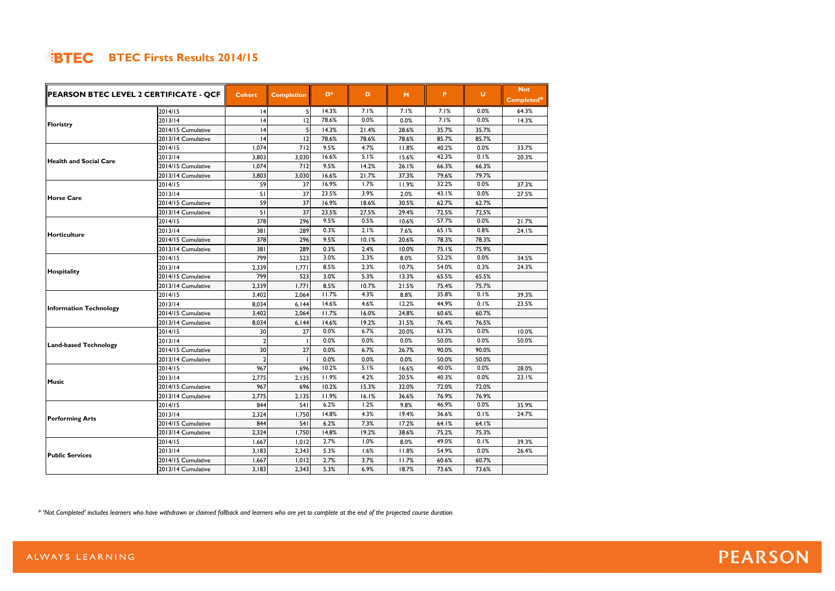| PEARSON BTEC LEVEL 2 CERTIFICATE - QCF |                    |                |                   | D*    |       |       |       | $\cup$ | <b>Not</b> |
|----------------------------------------|--------------------|----------------|-------------------|-------|-------|-------|-------|--------|------------|
|                                        |                    | <b>Cohort</b>  | <b>Completion</b> |       | D     | M     | P     |        | Completed* |
|                                        | 2014/15            | 4              | 5                 | 14.3% | 7.1%  | 7.1%  | 7.1%  | 0.0%   | 64.3%      |
| <b>Floristry</b>                       | 2013/14            | 4              | 12                | 78.6% | 0.0%  | 0.0%  | 7.1%  | 0.0%   | 14.3%      |
|                                        | 2014/15 Cumulative | 4              | 5                 | 14.3% | 21.4% | 28.6% | 35.7% | 35.7%  |            |
|                                        | 2013/14 Cumulative | 4              | 12                | 78.6% | 78.6% | 78.6% | 85.7% | 85.7%  |            |
|                                        | 2014/15            | 1,074          | 712               | 9.5%  | 4.7%  | 11.8% | 40.2% | 0.0%   | 33.7%      |
| <b>Health and Social Care</b>          | 2013/14            | 3,803          | 3,030             | 16.6% | 5.1%  | 15.6% | 42.3% | 0.1%   | 20.3%      |
|                                        | 2014/15 Cumulative | 1,074          | 712               | 9.5%  | 14.2% | 26.1% | 66.3% | 66.3%  |            |
|                                        | 2013/14 Cumulative | 3,803          | 3,030             | 16.6% | 21.7% | 37.3% | 79.6% | 79.7%  |            |
|                                        | 2014/15            | 59             | 37                | 16.9% | 1.7%  | 11.9% | 32.2% | 0.0%   | 37.3%      |
|                                        | 2013/14            | 51             | 37                | 23.5% | 3.9%  | 2.0%  | 43.1% | 0.0%   | 27.5%      |
| <b>Horse Care</b>                      | 2014/15 Cumulative | 59             | 37                | 16.9% | 18.6% | 30.5% | 62.7% | 62.7%  |            |
|                                        | 2013/14 Cumulative | 51             | 37                | 23.5% | 27.5% | 29.4% | 72.5% | 72.5%  |            |
|                                        | 2014/15            | 378            | 296               | 9.5%  | 0.5%  | 10.6% | 57.7% | 0.0%   | 21.7%      |
|                                        | 2013/14            | 381            | 289               | 0.3%  | 2.1%  | 7.6%  | 65.1% | 0.8%   | 24.1%      |
| <b>Horticulture</b>                    | 2014/15 Cumulative | 378            | 296               | 9.5%  | 10.1% | 20.6% | 78.3% | 78.3%  |            |
|                                        | 2013/14 Cumulative | 381            | 289               | 0.3%  | 2.4%  | 10.0% | 75.1% | 75.9%  |            |
|                                        | 2014/15            | 799            | 523               | 3.0%  | 2.3%  | 8.0%  | 52.2% | 0.0%   | 34.5%      |
|                                        | 2013/14            | 2,339          | 1,771             | 8.5%  | 2.3%  | 10.7% | 54.0% | 0.3%   | 24.3%      |
| Hospitality                            | 2014/15 Cumulative | 799            | 523               | 3.0%  | 5.3%  | 13.3% | 65.5% | 65.5%  |            |
|                                        | 2013/14 Cumulative | 2,339          | 1,771             | 8.5%  | 10.7% | 21.5% | 75.4% | 75.7%  |            |
|                                        | 2014/15            | 3,402          | 2,064             | 11.7% | 4.3%  | 8.8%  | 35.8% | 0.1%   | 39.3%      |
|                                        | 2013/14            | 8,034          | 6,144             | 14.6% | 4.6%  | 12.2% | 44.9% | 0.1%   | 23.5%      |
| <b>Information Technology</b>          | 2014/15 Cumulative | 3,402          | 2,064             | 11.7% | 16.0% | 24.8% | 60.6% | 60.7%  |            |
|                                        | 2013/14 Cumulative | 8,034          | 6,144             | 14.6% | 19.2% | 31.5% | 76.4% | 76.5%  |            |
|                                        | 2014/15            | 30             | 27                | 0.0%  | 6.7%  | 20.0% | 63.3% | 0.0%   | 10.0%      |
|                                        | 2013/14            | $\overline{2}$ |                   | 0.0%  | 0.0%  | 0.0%  | 50.0% | 0.0%   | 50.0%      |
| <b>Land-based Technology</b>           | 2014/15 Cumulative | 30             | 27                | 0.0%  | 6.7%  | 26.7% | 90.0% | 90.0%  |            |
|                                        | 2013/14 Cumulative | $\overline{2}$ |                   | 0.0%  | 0.0%  | 0.0%  | 50.0% | 50.0%  |            |
|                                        | 2014/15            | 967            | 696               | 10.2% | 5.1%  | 16.6% | 40.0% | 0.0%   | 28.0%      |
|                                        | 2013/14            | 2,775          | 2,135             | 11.9% | 4.2%  | 20.5% | 40.3% | 0.0%   | 23.1%      |
| <b>Music</b>                           | 2014/15 Cumulative | 967            | 696               | 10.2% | 15.3% | 32.0% | 72.0% | 72.0%  |            |
|                                        | 2013/14 Cumulative | 2,775          | 2,135             | 11.9% | 16.1% | 36.6% | 76.9% | 76.9%  |            |
|                                        | 2014/15            | 844            | 541               | 6.2%  | 1.2%  | 9.8%  | 46.9% | 0.0%   | 35.9%      |
|                                        | 2013/14            | 2,324          | 1,750             | 14.8% | 4.3%  | 19.4% | 36.6% | 0.1%   | 24.7%      |
| <b>Performing Arts</b>                 | 2014/15 Cumulative | 844            | 541               | 6.2%  | 7.3%  | 17.2% | 64.1% | 64.1%  |            |
|                                        | 2013/14 Cumulative | 2,324          | 1,750             | 14.8% | 19.2% | 38.6% | 75.2% | 75.3%  |            |
|                                        | 2014/15            | 1,667          | 1,012             | 2.7%  | 1.0%  | 8.0%  | 49.0% | 0.1%   | 39.3%      |
|                                        | 2013/14            | 3,183          | 2,343             | 5.3%  | 1.6%  | 11.8% | 54.9% | 0.0%   | 26.4%      |
| <b>Public Services</b>                 | 2014/15 Cumulative | 1,667          | 1,012             | 2.7%  | 3.7%  | 11.7% | 60.6% | 60.7%  |            |
|                                        | 2013/14 Cumulative | 3,183          | 2,343             | 5.3%  | 6.9%  | 18.7% | 73.6% | 73.6%  |            |

*\* 'Not Completed' includes learners who have withdrawn or claimed fallback and learners who are yet to complete at the end of the projected course duration.*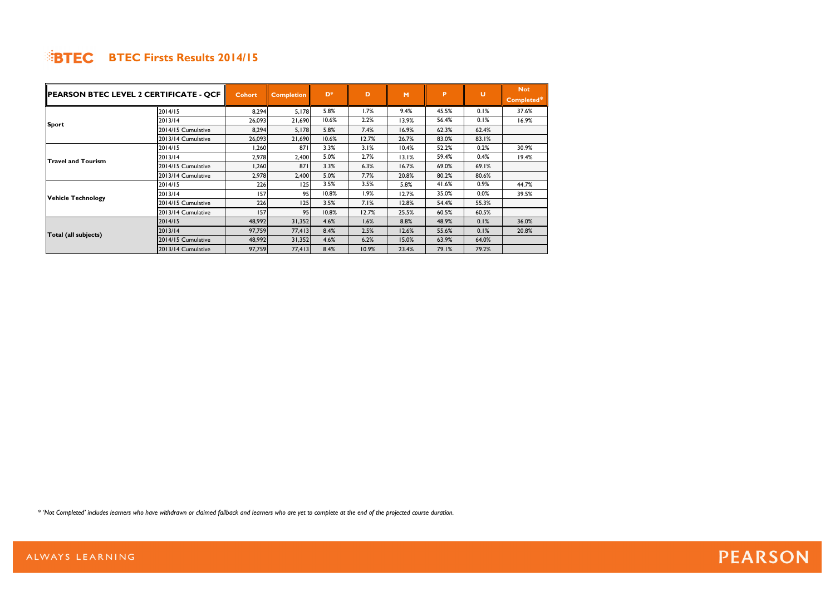| PEARSON BTEC LEVEL 2 CERTIFICATE - QCF |                    | Cohort | <b>Completion</b> | $D^*$ | D     | M     | P     | U     | <b>Not</b> |
|----------------------------------------|--------------------|--------|-------------------|-------|-------|-------|-------|-------|------------|
|                                        |                    |        |                   |       |       |       |       |       | Completed* |
|                                        | 2014/15            | 8,294  | 5,178             | 5.8%  | 1.7%  | 9.4%  | 45.5% | 0.1%  | 37.6%      |
| Sport                                  | 2013/14            | 26,093 | 21,690            | 10.6% | 2.2%  | 13.9% | 56.4% | 0.1%  | 16.9%      |
|                                        | 2014/15 Cumulative | 8,294  | 5,178             | 5.8%  | 7.4%  | 16.9% | 62.3% | 62.4% |            |
|                                        | 2013/14 Cumulative | 26,093 | 21,690            | 10.6% | 12.7% | 26.7% | 83.0% | 83.1% |            |
|                                        | 2014/15            | 1,260  | 871               | 3.3%  | 3.1%  | 10.4% | 52.2% | 0.2%  | 30.9%      |
|                                        | 2013/14            | 2,978  | 2,400             | 5.0%  | 2.7%  | 13.1% | 59.4% | 0.4%  | 19.4%      |
| <b>Travel and Tourism</b>              | 2014/15 Cumulative | 1,260  | 871               | 3.3%  | 6.3%  | 16.7% | 69.0% | 69.1% |            |
|                                        | 2013/14 Cumulative | 2,978  | 2,400             | 5.0%  | 7.7%  | 20.8% | 80.2% | 80.6% |            |
|                                        | 2014/15            | 226    | 125               | 3.5%  | 3.5%  | 5.8%  | 41.6% | 0.9%  | 44.7%      |
| <b>Vehicle Technology</b>              | 2013/14            | 157    | 95                | 10.8% | 1.9%  | 12.7% | 35.0% | 0.0%  | 39.5%      |
|                                        | 2014/15 Cumulative | 226    | 125               | 3.5%  | 7.1%  | 12.8% | 54.4% | 55.3% |            |
|                                        | 2013/14 Cumulative | 157    | 95                | 10.8% | 12.7% | 25.5% | 60.5% | 60.5% |            |
|                                        | 2014/15            | 48,992 | 31,352            | 4.6%  | 1.6%  | 8.8%  | 48.9% | 0.1%  | 36.0%      |
|                                        | 2013/14            | 97,759 | 77,413            | 8.4%  | 2.5%  | 12.6% | 55.6% | 0.1%  | 20.8%      |
| Total (all subjects)                   | 2014/15 Cumulative | 48,992 | 31,352            | 4.6%  | 6.2%  | 15.0% | 63.9% | 64.0% |            |
|                                        | 2013/14 Cumulative | 97,759 | 77,413            | 8.4%  | 10.9% | 23.4% | 79.1% | 79.2% |            |

*\* 'Not Completed' includes learners who have withdrawn or claimed fallback and learners who are yet to complete at the end of the projected course duration.*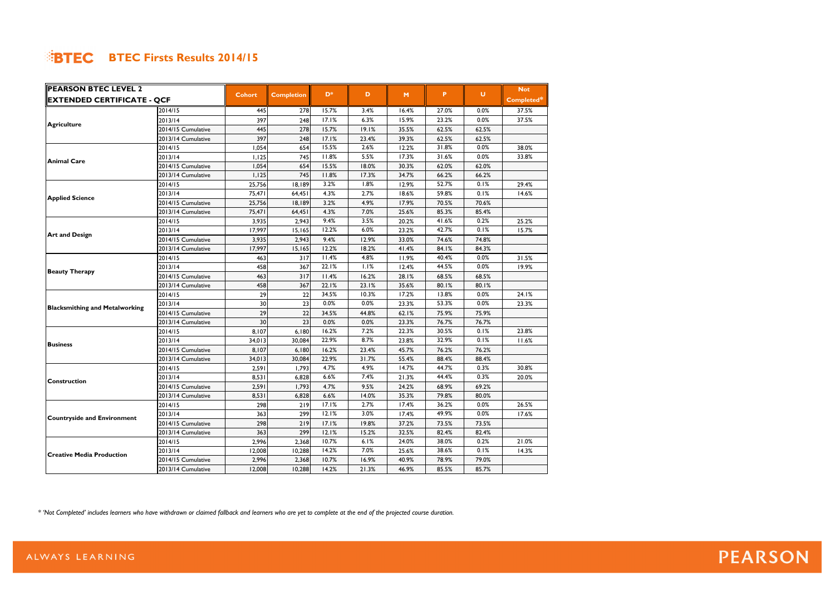| <b>PEARSON BTEC LEVEL 2</b>           |                    |               |                   |                |       |       |       |        | <b>Not</b> |
|---------------------------------------|--------------------|---------------|-------------------|----------------|-------|-------|-------|--------|------------|
| <b>EXTENDED CERTIFICATE - QCF</b>     |                    | <b>Cohort</b> | <b>Completion</b> | D <sup>*</sup> | D     | M     | P.    | $\cup$ | Completed* |
|                                       | 2014/15            | 445           | 278               | 15.7%          | 3.4%  | 16.4% | 27.0% | 0.0%   | 37.5%      |
| <b>Agriculture</b>                    | 2013/14            | 397           | 248               | 17.1%          | 6.3%  | 15.9% | 23.2% | 0.0%   | 37.5%      |
|                                       | 2014/15 Cumulative | 445           | 278               | 15.7%          | 19.1% | 35.5% | 62.5% | 62.5%  |            |
|                                       | 2013/14 Cumulative | 397           | 248               | 17.1%          | 23.4% | 39.3% | 62.5% | 62.5%  |            |
|                                       | 2014/15            | 1,054         | 654               | 15.5%          | 2.6%  | 12.2% | 31.8% | 0.0%   | 38.0%      |
| <b>Animal Care</b>                    | 2013/14            | 1,125         | 745               | 11.8%          | 5.5%  | 17.3% | 31.6% | 0.0%   | 33.8%      |
|                                       | 2014/15 Cumulative | 1,054         | 654               | 15.5%          | 18.0% | 30.3% | 62.0% | 62.0%  |            |
|                                       | 2013/14 Cumulative | 1,125         | 745               | 11.8%          | 17.3% | 34.7% | 66.2% | 66.2%  |            |
|                                       | 2014/15            | 25,756        | 18,189            | 3.2%           | 1.8%  | 12.9% | 52.7% | 0.1%   | 29.4%      |
| <b>Applied Science</b>                | 2013/14            | 75,471        | 64,451            | 4.3%           | 2.7%  | 18.6% | 59.8% | 0.1%   | 14.6%      |
|                                       | 2014/15 Cumulative | 25,756        | 18,189            | 3.2%           | 4.9%  | 17.9% | 70.5% | 70.6%  |            |
|                                       | 2013/14 Cumulative | 75,471        | 64,451            | 4.3%           | 7.0%  | 25.6% | 85.3% | 85.4%  |            |
|                                       | 2014/15            | 3,935         | 2,943             | 9.4%           | 3.5%  | 20.2% | 41.6% | 0.2%   | 25.2%      |
|                                       | 2013/14            | 17,997        | 15,165            | 12.2%          | 6.0%  | 23.2% | 42.7% | 0.1%   | 15.7%      |
| <b>Art and Design</b>                 | 2014/15 Cumulative | 3,935         | 2,943             | 9.4%           | 12.9% | 33.0% | 74.6% | 74.8%  |            |
|                                       | 2013/14 Cumulative | 17,997        | 15,165            | 12.2%          | 18.2% | 41.4% | 84.1% | 84.3%  |            |
|                                       | 2014/15            | 463           | 317               | 11.4%          | 4.8%  | 11.9% | 40.4% | 0.0%   | 31.5%      |
|                                       | 2013/14            | 458           | 367               | 22.1%          | 1.1%  | 12.4% | 44.5% | 0.0%   | 19.9%      |
| <b>Beauty Therapy</b>                 | 2014/15 Cumulative | 463           | 317               | 11.4%          | 16.2% | 28.1% | 68.5% | 68.5%  |            |
|                                       | 2013/14 Cumulative | 458           | 367               | 22.1%          | 23.1% | 35.6% | 80.1% | 80.1%  |            |
|                                       | 2014/15            | 29            | 22                | 34.5%          | 10.3% | 17.2% | 13.8% | 0.0%   | 24.1%      |
|                                       | 2013/14            | 30            | 23                | 0.0%           | 0.0%  | 23.3% | 53.3% | 0.0%   | 23.3%      |
| <b>Blacksmithing and Metalworking</b> | 2014/15 Cumulative | 29            | 22                | 34.5%          | 44.8% | 62.1% | 75.9% | 75.9%  |            |
|                                       | 2013/14 Cumulative | 30            | 23                | 0.0%           | 0.0%  | 23.3% | 76.7% | 76.7%  |            |
|                                       | 2014/15            | 8,107         | 6,180             | 16.2%          | 7.2%  | 22.3% | 30.5% | 0.1%   | 23.8%      |
|                                       | 2013/14            | 34,013        | 30,084            | 22.9%          | 8.7%  | 23.8% | 32.9% | 0.1%   | 11.6%      |
| <b>Business</b>                       | 2014/15 Cumulative | 8,107         | 6,180             | 16.2%          | 23.4% | 45.7% | 76.2% | 76.2%  |            |
|                                       | 2013/14 Cumulative | 34,013        | 30,084            | 22.9%          | 31.7% | 55.4% | 88.4% | 88.4%  |            |
|                                       | 2014/15            | 2,591         | 1,793             | 4.7%           | 4.9%  | 14.7% | 44.7% | 0.3%   | 30.8%      |
|                                       | 2013/14            | 8,531         | 6,828             | 6.6%           | 7.4%  | 21.3% | 44.4% | 0.3%   | 20.0%      |
| <b>Construction</b>                   | 2014/15 Cumulative | 2,591         | 1,793             | 4.7%           | 9.5%  | 24.2% | 68.9% | 69.2%  |            |
|                                       | 2013/14 Cumulative | 8,531         | 6,828             | 6.6%           | 14.0% | 35.3% | 79.8% | 80.0%  |            |
|                                       | 2014/15            | 298           | 219               | 17.1%          | 2.7%  | 17.4% | 36.2% | 0.0%   | 26.5%      |
|                                       | 2013/14            | 363           | 299               | 12.1%          | 3.0%  | 17.4% | 49.9% | 0.0%   | 17.6%      |
| <b>Countryside and Environment</b>    | 2014/15 Cumulative | 298           | 219               | 17.1%          | 19.8% | 37.2% | 73.5% | 73.5%  |            |
|                                       | 2013/14 Cumulative | 363           | 299               | 12.1%          | 15.2% | 32.5% | 82.4% | 82.4%  |            |
|                                       | 2014/15            | 2,996         | 2,368             | 10.7%          | 6.1%  | 24.0% | 38.0% | 0.2%   | 21.0%      |
|                                       | 2013/14            | 12,008        | 10,288            | 14.2%          | 7.0%  | 25.6% | 38.6% | 0.1%   | 14.3%      |
| <b>Creative Media Production</b>      | 2014/15 Cumulative | 2,996         | 2,368             | 10.7%          | 16.9% | 40.9% | 78.9% | 79.0%  |            |
|                                       | 2013/14 Cumulative | 12,008        | 10,288            | 14.2%          | 21.3% | 46.9% | 85.5% | 85.7%  |            |

*\* 'Not Completed' includes learners who have withdrawn or claimed fallback and learners who are yet to complete at the end of the projected course duration.*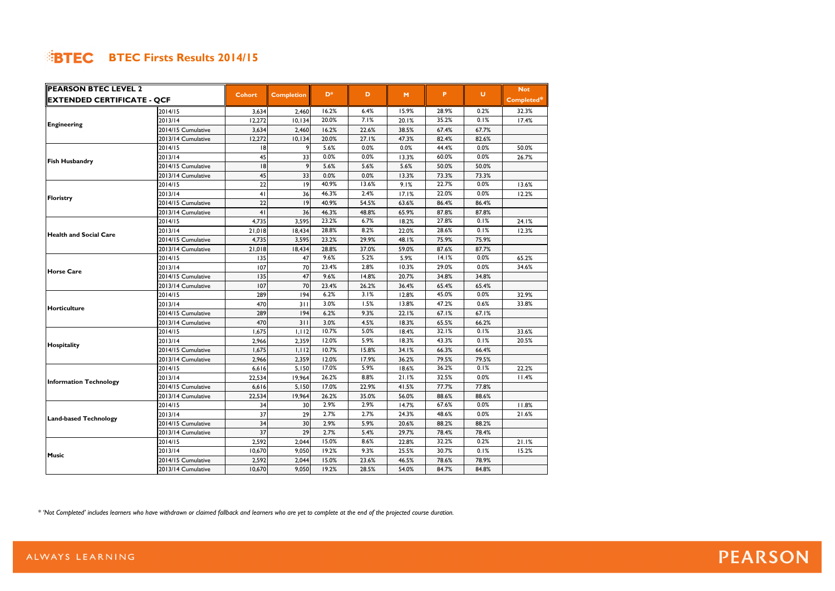| <b>PEARSON BTEC LEVEL 2</b>       |                    |                |                   |                |       |       |       |         | <b>Not</b> |
|-----------------------------------|--------------------|----------------|-------------------|----------------|-------|-------|-------|---------|------------|
| <b>EXTENDED CERTIFICATE - QCF</b> |                    | <b>Cohort</b>  | <b>Completion</b> | D <sup>*</sup> | D     | M     | P.    | $\cup$  | Completed* |
|                                   | 2014/15            | 3,634          | 2,460             | 16.2%          | 6.4%  | 15.9% | 28.9% | 0.2%    | 32.3%      |
| <b>Engineering</b>                | 2013/14            | 12,272         | 10, 134           | 20.0%          | 7.1%  | 20.1% | 35.2% | 0.1%    | 17.4%      |
|                                   | 2014/15 Cumulative | 3,634          | 2,460             | 16.2%          | 22.6% | 38.5% | 67.4% | 67.7%   |            |
|                                   | 2013/14 Cumulative | 12,272         | 10, 134           | 20.0%          | 27.1% | 47.3% | 82.4% | 82.6%   |            |
|                                   | 2014/15            | 18             |                   | 5.6%           | 0.0%  | 0.0%  | 44.4% | 0.0%    | 50.0%      |
| <b>Fish Husbandry</b>             | 2013/14            | 45             | 33                | 0.0%           | 0.0%  | 13.3% | 60.0% | 0.0%    | 26.7%      |
|                                   | 2014/15 Cumulative | 18             | 9                 | 5.6%           | 5.6%  | 5.6%  | 50.0% | 50.0%   |            |
|                                   | 2013/14 Cumulative | 45             | 33                | 0.0%           | 0.0%  | 13.3% | 73.3% | 73.3%   |            |
|                                   | 2014/15            | 22             | 9                 | 40.9%          | 13.6% | 9.1%  | 22.7% | 0.0%    | 13.6%      |
| Floristry                         | 2013/14            | 4 <sub>1</sub> | 36                | 46.3%          | 2.4%  | 17.1% | 22.0% | 0.0%    | 12.2%      |
|                                   | 2014/15 Cumulative | 22             | 9                 | 40.9%          | 54.5% | 63.6% | 86.4% | 86.4%   |            |
|                                   | 2013/14 Cumulative | 41             | 36                | 46.3%          | 48.8% | 65.9% | 87.8% | 87.8%   |            |
|                                   | 2014/15            | 4,735          | 3,595             | 23.2%          | 6.7%  | 18.2% | 27.8% | 0.1%    | 24.1%      |
|                                   | 2013/14            | 21,018         | 18,434            | 28.8%          | 8.2%  | 22.0% | 28.6% | 0.1%    | 12.3%      |
| <b>Health and Social Care</b>     | 2014/15 Cumulative | 4,735          | 3,595             | 23.2%          | 29.9% | 48.1% | 75.9% | 75.9%   |            |
|                                   | 2013/14 Cumulative | 21,018         | 18,434            | 28.8%          | 37.0% | 59.0% | 87.6% | 87.7%   |            |
|                                   | 2014/15            | 135            | 47                | 9.6%           | 5.2%  | 5.9%  | 14.1% | 0.0%    | 65.2%      |
|                                   | 2013/14            | 107            | 70                | 23.4%          | 2.8%  | 10.3% | 29.0% | 0.0%    | 34.6%      |
| <b>Horse Care</b>                 | 2014/15 Cumulative | 135            | 47                | 9.6%           | 14.8% | 20.7% | 34.8% | 34.8%   |            |
|                                   | 2013/14 Cumulative | 107            | 70                | 23.4%          | 26.2% | 36.4% | 65.4% | 65.4%   |            |
|                                   | 2014/15            | 289            | 194               | 6.2%           | 3.1%  | 12.8% | 45.0% | 0.0%    | 32.9%      |
|                                   | 2013/14            | 470            | 311               | 3.0%           | 1.5%  | 13.8% | 47.2% | 0.6%    | 33.8%      |
| <b>Horticulture</b>               | 2014/15 Cumulative | 289            | 194               | 6.2%           | 9.3%  | 22.1% | 67.1% | 67.1%   |            |
|                                   | 2013/14 Cumulative | 470            | 311               | 3.0%           | 4.5%  | 18.3% | 65.5% | 66.2%   |            |
|                                   | 2014/15            | 1,675          | 1,112             | 10.7%          | 5.0%  | 18.4% | 32.1% | 0.1%    | 33.6%      |
|                                   | 2013/14            | 2,966          | 2,359             | 12.0%          | 5.9%  | 18.3% | 43.3% | 0.1%    | 20.5%      |
| Hospitality                       | 2014/15 Cumulative | 1,675          | 1,112             | 10.7%          | 15.8% | 34.1% | 66.3% | 66.4%   |            |
|                                   | 2013/14 Cumulative | 2,966          | 2,359             | 12.0%          | 17.9% | 36.2% | 79.5% | 79.5%   |            |
|                                   | 2014/15            | 6,616          | 5,150             | 17.0%          | 5.9%  | 18.6% | 36.2% | 0.1%    | 22.2%      |
|                                   | 2013/14            | 22,534         | 19,964            | 26.2%          | 8.8%  | 21.1% | 32.5% | 0.0%    | 11.4%      |
| <b>Information Technology</b>     | 2014/15 Cumulative | 6,616          | 5,150             | 17.0%          | 22.9% | 41.5% | 77.7% | 77.8%   |            |
|                                   | 2013/14 Cumulative | 22,534         | 19,964            | 26.2%          | 35.0% | 56.0% | 88.6% | 88.6%   |            |
|                                   | 2014/15            | 34             | 30                | 2.9%           | 2.9%  | 14.7% | 67.6% | $0.0\%$ | 11.8%      |
|                                   | 2013/14            | 37             | 29                | 2.7%           | 2.7%  | 24.3% | 48.6% | 0.0%    | 21.6%      |
| <b>Land-based Technology</b>      | 2014/15 Cumulative | 34             | 30                | 2.9%           | 5.9%  | 20.6% | 88.2% | 88.2%   |            |
|                                   | 2013/14 Cumulative | 37             | 29                | 2.7%           | 5.4%  | 29.7% | 78.4% | 78.4%   |            |
|                                   | 2014/15            | 2,592          | 2,044             | 15.0%          | 8.6%  | 22.8% | 32.2% | 0.2%    | 21.1%      |
|                                   | 2013/14            | 10,670         | 9,050             | 19.2%          | 9.3%  | 25.5% | 30.7% | 0.1%    | 15.2%      |
| <b>Music</b>                      | 2014/15 Cumulative | 2,592          | 2,044             | 15.0%          | 23.6% | 46.5% | 78.6% | 78.9%   |            |
|                                   | 2013/14 Cumulative | 10,670         | 9,050             | 19.2%          | 28.5% | 54.0% | 84.7% | 84.8%   |            |

*\* 'Not Completed' includes learners who have withdrawn or claimed fallback and learners who are yet to complete at the end of the projected course duration.*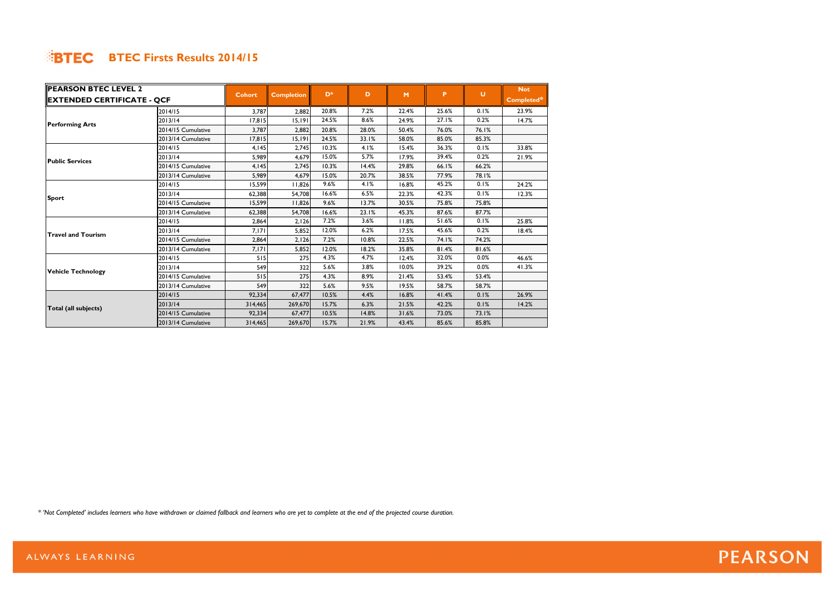| <b>PEARSON BTEC LEVEL 2</b>       |                    |               |                   | D*    | D     |       | P.    | $\cup$ | <b>Not</b> |
|-----------------------------------|--------------------|---------------|-------------------|-------|-------|-------|-------|--------|------------|
| <b>EXTENDED CERTIFICATE - QCF</b> |                    | <b>Cohort</b> | <b>Completion</b> |       |       | M     |       |        | Completed* |
|                                   | 2014/15            | 3.787         | 2.882             | 20.8% | 7.2%  | 22.4% | 25.6% | 0.1%   | 23.9%      |
| <b>Performing Arts</b>            | 2013/14            | 17,815        | 15.191            | 24.5% | 8.6%  | 24.9% | 27.1% | 0.2%   | 14.7%      |
|                                   | 2014/15 Cumulative | 3,787         | 2,882             | 20.8% | 28.0% | 50.4% | 76.0% | 76.1%  |            |
|                                   | 2013/14 Cumulative | 17,815        | 15,191            | 24.5% | 33.1% | 58.0% | 85.0% | 85.3%  |            |
|                                   | 2014/15            | 4,145         | 2.745             | 10.3% | 4.1%  | 15.4% | 36.3% | 0.1%   | 33.8%      |
| <b>Public Services</b>            | 2013/14            | 5,989         | 4,679             | 15.0% | 5.7%  | 17.9% | 39.4% | 0.2%   | 21.9%      |
|                                   | 2014/15 Cumulative | 4.145         | 2,745             | 10.3% | 14.4% | 29.8% | 66.1% | 66.2%  |            |
|                                   | 2013/14 Cumulative | 5,989         | 4,679             | 15.0% | 20.7% | 38.5% | 77.9% | 78.1%  |            |
|                                   | 2014/15            | 15,599        | 11,826            | 9.6%  | 4.1%  | 16.8% | 45.2% | 0.1%   | 24.2%      |
|                                   | 2013/14            | 62,388        | 54,708            | 16.6% | 6.5%  | 22.3% | 42.3% | 0.1%   | 12.3%      |
| <b>Sport</b>                      | 2014/15 Cumulative | 15,599        | 11,826            | 9.6%  | 13.7% | 30.5% | 75.8% | 75.8%  |            |
|                                   | 2013/14 Cumulative | 62,388        | 54,708            | 16.6% | 23.1% | 45.3% | 87.6% | 87.7%  |            |
|                                   | 2014/15            | 2,864         | 2,126             | 7.2%  | 3.6%  | 11.8% | 51.6% | 0.1%   | 25.8%      |
| <b>Travel and Tourism</b>         | 2013/14            | 7,171         | 5,852             | 12.0% | 6.2%  | 17.5% | 45.6% | 0.2%   | 18.4%      |
|                                   | 2014/15 Cumulative | 2,864         | 2,126             | 7.2%  | 10.8% | 22.5% | 74.1% | 74.2%  |            |
|                                   | 2013/14 Cumulative | 7,171         | 5,852             | 12.0% | 18.2% | 35.8% | 81.4% | 81.6%  |            |
|                                   | 2014/15            | 515           | 275               | 4.3%  | 4.7%  | 12.4% | 32.0% | 0.0%   | 46.6%      |
| <b>Vehicle Technology</b>         | 2013/14            | 549           | 322               | 5.6%  | 3.8%  | 10.0% | 39.2% | 0.0%   | 41.3%      |
|                                   | 2014/15 Cumulative | 515           | 275               | 4.3%  | 8.9%  | 21.4% | 53.4% | 53.4%  |            |
|                                   | 2013/14 Cumulative | 549           | 322               | 5.6%  | 9.5%  | 19.5% | 58.7% | 58.7%  |            |
|                                   | 2014/15            | 92,334        | 67,477            | 10.5% | 4.4%  | 16.8% | 41.4% | 0.1%   | 26.9%      |
| Total (all subjects)              | 2013/14            | 314,465       | 269,670           | 15.7% | 6.3%  | 21.5% | 42.2% | 0.1%   | 14.2%      |
|                                   | 2014/15 Cumulative | 92,334        | 67,477            | 10.5% | 14.8% | 31.6% | 73.0% | 73.1%  |            |
|                                   | 2013/14 Cumulative | 314,465       | 269,670           | 15.7% | 21.9% | 43.4% | 85.6% | 85.8%  |            |

*\* 'Not Completed' includes learners who have withdrawn or claimed fallback and learners who are yet to complete at the end of the projected course duration.*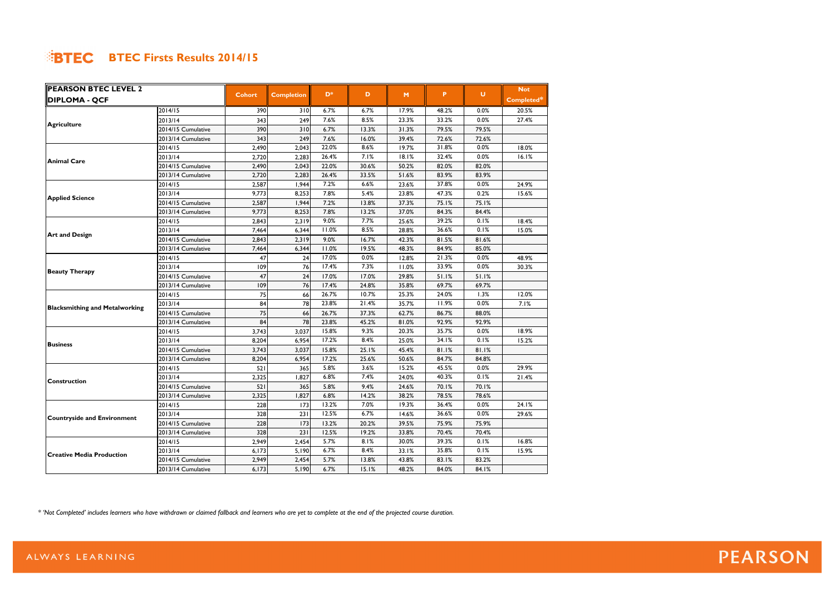| <b>PEARSON BTEC LEVEL 2</b>           |                    |               |                   |                |       |       |       |        | <b>Not</b> |
|---------------------------------------|--------------------|---------------|-------------------|----------------|-------|-------|-------|--------|------------|
| <b>DIPLOMA - QCF</b>                  |                    | <b>Cohort</b> | <b>Completion</b> | D <sup>*</sup> | D     | M     | P     | $\cup$ | Completed* |
|                                       | 2014/15            | 390           | 310               | 6.7%           | 6.7%  | 17.9% | 48.2% | 0.0%   | 20.5%      |
| <b>Agriculture</b>                    | 2013/14            | 343           | 249               | 7.6%           | 8.5%  | 23.3% | 33.2% | 0.0%   | 27.4%      |
|                                       | 2014/15 Cumulative | 390           | 310               | 6.7%           | 13.3% | 31.3% | 79.5% | 79.5%  |            |
|                                       | 2013/14 Cumulative | 343           | 249               | 7.6%           | 16.0% | 39.4% | 72.6% | 72.6%  |            |
|                                       | 2014/15            | 2,490         | 2,043             | 22.0%          | 8.6%  | 19.7% | 31.8% | 0.0%   | 18.0%      |
| <b>Animal Care</b>                    | 2013/14            | 2,720         | 2,283             | 26.4%          | 7.1%  | 18.1% | 32.4% | 0.0%   | 16.1%      |
|                                       | 2014/15 Cumulative | 2,490         | 2,043             | 22.0%          | 30.6% | 50.2% | 82.0% | 82.0%  |            |
|                                       | 2013/14 Cumulative | 2,720         | 2,283             | 26.4%          | 33.5% | 51.6% | 83.9% | 83.9%  |            |
|                                       | 2014/15            | 2,587         | 1,944             | 7.2%           | 6.6%  | 23.6% | 37.8% | 0.0%   | 24.9%      |
| <b>Applied Science</b>                | 2013/14            | 9,773         | 8,253             | 7.8%           | 5.4%  | 23.8% | 47.3% | 0.2%   | 15.6%      |
|                                       | 2014/15 Cumulative | 2,587         | 1,944             | 7.2%           | 13.8% | 37.3% | 75.1% | 75.1%  |            |
|                                       | 2013/14 Cumulative | 9,773         | 8,253             | 7.8%           | 13.2% | 37.0% | 84.3% | 84.4%  |            |
|                                       | 2014/15            | 2,843         | 2,319             | 9.0%           | 7.7%  | 25.6% | 39.2% | 0.1%   | 18.4%      |
|                                       | 2013/14            | 7,464         | 6,344             | 11.0%          | 8.5%  | 28.8% | 36.6% | 0.1%   | 15.0%      |
| <b>Art and Design</b>                 | 2014/15 Cumulative | 2,843         | 2,319             | 9.0%           | 16.7% | 42.3% | 81.5% | 81.6%  |            |
|                                       | 2013/14 Cumulative | 7,464         | 6,344             | 11.0%          | 19.5% | 48.3% | 84.9% | 85.0%  |            |
|                                       | 2014/15            | 47            | 24                | 17.0%          | 0.0%  | 12.8% | 21.3% | 0.0%   | 48.9%      |
|                                       | 2013/14            | 109           | 76                | 17.4%          | 7.3%  | 11.0% | 33.9% | 0.0%   | 30.3%      |
| <b>Beauty Therapy</b>                 | 2014/15 Cumulative | 47            | 24                | 17.0%          | 17.0% | 29.8% | 51.1% | 51.1%  |            |
|                                       | 2013/14 Cumulative | 109           | 76                | 17.4%          | 24.8% | 35.8% | 69.7% | 69.7%  |            |
|                                       | 2014/15            | 75            | 66                | 26.7%          | 10.7% | 25.3% | 24.0% | 1.3%   | 12.0%      |
|                                       | 2013/14            | 84            | 78                | 23.8%          | 21.4% | 35.7% | 11.9% | 0.0%   | 7.1%       |
| <b>Blacksmithing and Metalworking</b> | 2014/15 Cumulative | 75            | 66                | 26.7%          | 37.3% | 62.7% | 86.7% | 88.0%  |            |
|                                       | 2013/14 Cumulative | 84            | 78                | 23.8%          | 45.2% | 81.0% | 92.9% | 92.9%  |            |
|                                       | 2014/15            | 3,743         | 3,037             | 15.8%          | 9.3%  | 20.3% | 35.7% | 0.0%   | 18.9%      |
|                                       | 2013/14            | 8,204         | 6,954             | 17.2%          | 8.4%  | 25.0% | 34.1% | 0.1%   | 15.2%      |
| <b>Business</b>                       | 2014/15 Cumulative | 3,743         | 3,037             | 15.8%          | 25.1% | 45.4% | 81.1% | 81.1%  |            |
|                                       | 2013/14 Cumulative | 8,204         | 6,954             | 17.2%          | 25.6% | 50.6% | 84.7% | 84.8%  |            |
|                                       | 2014/15            | 521           | 365               | 5.8%           | 3.6%  | 15.2% | 45.5% | 0.0%   | 29.9%      |
|                                       | 2013/14            | 2,325         | 1,827             | 6.8%           | 7.4%  | 24.0% | 40.3% | 0.1%   | 21.4%      |
| <b>Construction</b>                   | 2014/15 Cumulative | 521           | 365               | 5.8%           | 9.4%  | 24.6% | 70.1% | 70.1%  |            |
|                                       | 2013/14 Cumulative | 2,325         | 1,827             | 6.8%           | 14.2% | 38.2% | 78.5% | 78.6%  |            |
|                                       | 2014/15            | 228           | 173               | 13.2%          | 7.0%  | 19.3% | 36.4% | 0.0%   | 24.1%      |
|                                       | 2013/14            | 328           | 231               | 12.5%          | 6.7%  | 14.6% | 36.6% | 0.0%   | 29.6%      |
| <b>Countryside and Environment</b>    | 2014/15 Cumulative | 228           | 173               | 13.2%          | 20.2% | 39.5% | 75.9% | 75.9%  |            |
|                                       | 2013/14 Cumulative | 328           | 231               | 12.5%          | 19.2% | 33.8% | 70.4% | 70.4%  |            |
|                                       | 2014/15            | 2,949         | 2,454             | 5.7%           | 8.1%  | 30.0% | 39.3% | 0.1%   | 16.8%      |
|                                       | 2013/14            | 6,173         | 5,190             | 6.7%           | 8.4%  | 33.1% | 35.8% | 0.1%   | 15.9%      |
| <b>Creative Media Production</b>      | 2014/15 Cumulative | 2,949         | 2,454             | 5.7%           | 13.8% | 43.8% | 83.1% | 83.2%  |            |
|                                       | 2013/14 Cumulative | 6,173         | 5,190             | 6.7%           | 15.1% | 48.2% | 84.0% | 84.1%  |            |

*\* 'Not Completed' includes learners who have withdrawn or claimed fallback and learners who are yet to complete at the end of the projected course duration.*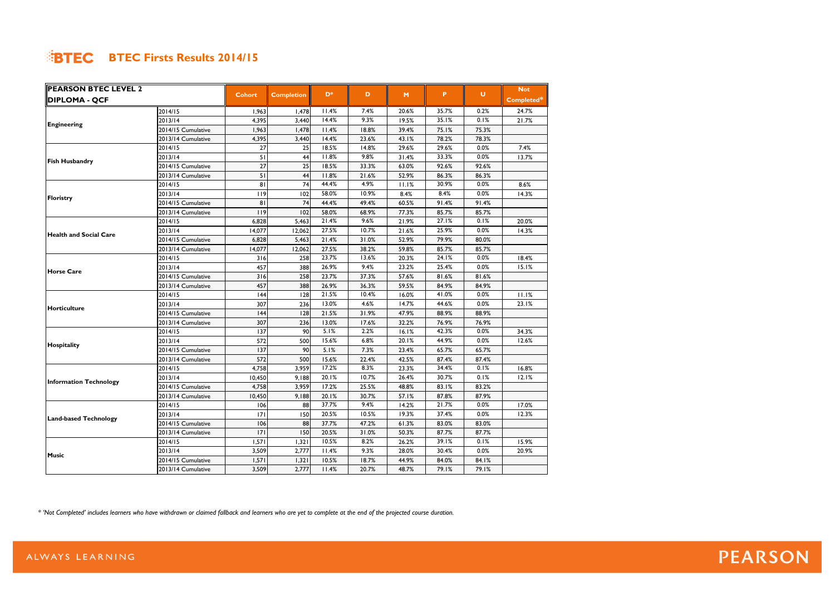| <b>PEARSON BTEC LEVEL 2</b>   |                    |               |                   |                |       |       |       |        | <b>Not</b> |
|-------------------------------|--------------------|---------------|-------------------|----------------|-------|-------|-------|--------|------------|
| <b>DIPLOMA - QCF</b>          |                    | <b>Cohort</b> | <b>Completion</b> | D <sup>*</sup> | D     | M     | P     | $\cup$ | Completed* |
|                               | 2014/15            | 1,963         | 1,478             | 11.4%          | 7.4%  | 20.6% | 35.7% | 0.2%   | 24.7%      |
| <b>Engineering</b>            | 2013/14            | 4,395         | 3,440             | 14.4%          | 9.3%  | 19.5% | 35.1% | 0.1%   | 21.7%      |
|                               | 2014/15 Cumulative | 1,963         | 1,478             | 11.4%          | 18.8% | 39.4% | 75.1% | 75.3%  |            |
|                               | 2013/14 Cumulative | 4,395         | 3,440             | 14.4%          | 23.6% | 43.1% | 78.2% | 78.3%  |            |
|                               | 2014/15            | 27            | 25                | 18.5%          | 14.8% | 29.6% | 29.6% | 0.0%   | 7.4%       |
| <b>Fish Husbandry</b>         | 2013/14            | 51            | 44                | 11.8%          | 9.8%  | 31.4% | 33.3% | 0.0%   | 13.7%      |
|                               | 2014/15 Cumulative | 27            | 25                | 18.5%          | 33.3% | 63.0% | 92.6% | 92.6%  |            |
|                               | 2013/14 Cumulative | 51            | 44                | 11.8%          | 21.6% | 52.9% | 86.3% | 86.3%  |            |
|                               | 2014/15            | 81            | 74                | 44.4%          | 4.9%  | 11.1% | 30.9% | 0.0%   | 8.6%       |
|                               | 2013/14            | 119           | 102               | 58.0%          | 10.9% | 8.4%  | 8.4%  | 0.0%   | 14.3%      |
| Floristry                     | 2014/15 Cumulative | 81            | 74                | 44.4%          | 49.4% | 60.5% | 91.4% | 91.4%  |            |
|                               | 2013/14 Cumulative | 119           | 102               | 58.0%          | 68.9% | 77.3% | 85.7% | 85.7%  |            |
|                               | 2014/15            | 6,828         | 5,463             | 21.4%          | 9.6%  | 21.9% | 27.1% | 0.1%   | 20.0%      |
|                               | 2013/14            | 14,077        | 12,062            | 27.5%          | 10.7% | 21.6% | 25.9% | 0.0%   | 14.3%      |
| lHealth and Social Care       | 2014/15 Cumulative | 6,828         | 5,463             | 21.4%          | 31.0% | 52.9% | 79.9% | 80.0%  |            |
|                               | 2013/14 Cumulative | 14,077        | 12,062            | 27.5%          | 38.2% | 59.8% | 85.7% | 85.7%  |            |
|                               | 2014/15            | 316           | 258               | 23.7%          | 13.6% | 20.3% | 24.1% | 0.0%   | 18.4%      |
|                               | 2013/14            | 457           | 388               | 26.9%          | 9.4%  | 23.2% | 25.4% | 0.0%   | 15.1%      |
| <b>Horse Care</b>             | 2014/15 Cumulative | 316           | 258               | 23.7%          | 37.3% | 57.6% | 81.6% | 81.6%  |            |
|                               | 2013/14 Cumulative | 457           | 388               | 26.9%          | 36.3% | 59.5% | 84.9% | 84.9%  |            |
|                               | 2014/15            | 144           | 128               | 21.5%          | 10.4% | 16.0% | 41.0% | 0.0%   | 11.1%      |
|                               | 2013/14            | 307           | 236               | 13.0%          | 4.6%  | 14.7% | 44.6% | 0.0%   | 23.1%      |
| <b>Horticulture</b>           | 2014/15 Cumulative | 44            | 128               | 21.5%          | 31.9% | 47.9% | 88.9% | 88.9%  |            |
|                               | 2013/14 Cumulative | 307           | 236               | 13.0%          | 17.6% | 32.2% | 76.9% | 76.9%  |            |
|                               | 2014/15            | 137           | 90                | 5.1%           | 2.2%  | 16.1% | 42.3% | 0.0%   | 34.3%      |
|                               | 2013/14            | 572           | 500               | 15.6%          | 6.8%  | 20.1% | 44.9% | 0.0%   | 12.6%      |
| Hospitality                   | 2014/15 Cumulative | 137           | 90                | 5.1%           | 7.3%  | 23.4% | 65.7% | 65.7%  |            |
|                               | 2013/14 Cumulative | 572           | 500               | 15.6%          | 22.4% | 42.5% | 87.4% | 87.4%  |            |
|                               | 2014/15            | 4,758         | 3,959             | 17.2%          | 8.3%  | 23.3% | 34.4% | 0.1%   | 16.8%      |
|                               | 2013/14            | 10,450        | 9,188             | 20.1%          | 10.7% | 26.4% | 30.7% | 0.1%   | 12.1%      |
| <b>Information Technology</b> | 2014/15 Cumulative | 4,758         | 3,959             | 17.2%          | 25.5% | 48.8% | 83.1% | 83.2%  |            |
|                               | 2013/14 Cumulative | 10,450        | 9,188             | 20.1%          | 30.7% | 57.1% | 87.8% | 87.9%  |            |
|                               | 2014/15            | 106           | 88                | 37.7%          | 9.4%  | 14.2% | 21.7% | 0.0%   | 17.0%      |
|                               | 2013/14            | 171           | 150               | 20.5%          | 10.5% | 19.3% | 37.4% | 0.0%   | 12.3%      |
| <b>Land-based Technology</b>  | 2014/15 Cumulative | 106           | 88                | 37.7%          | 47.2% | 61.3% | 83.0% | 83.0%  |            |
|                               | 2013/14 Cumulative | 171           | 150               | 20.5%          | 31.0% | 50.3% | 87.7% | 87.7%  |            |
|                               | 2014/15            | 1,571         | 1,321             | 10.5%          | 8.2%  | 26.2% | 39.1% | 0.1%   | 15.9%      |
|                               | 2013/14            | 3,509         | 2,777             | 11.4%          | 9.3%  | 28.0% | 30.4% | 0.0%   | 20.9%      |
| <b>Music</b>                  | 2014/15 Cumulative | 1,571         | 1,321             | 10.5%          | 18.7% | 44.9% | 84.0% | 84.1%  |            |
|                               | 2013/14 Cumulative | 3,509         | 2,777             | 11.4%          | 20.7% | 48.7% | 79.1% | 79.1%  |            |

*\* 'Not Completed' includes learners who have withdrawn or claimed fallback and learners who are yet to complete at the end of the projected course duration.*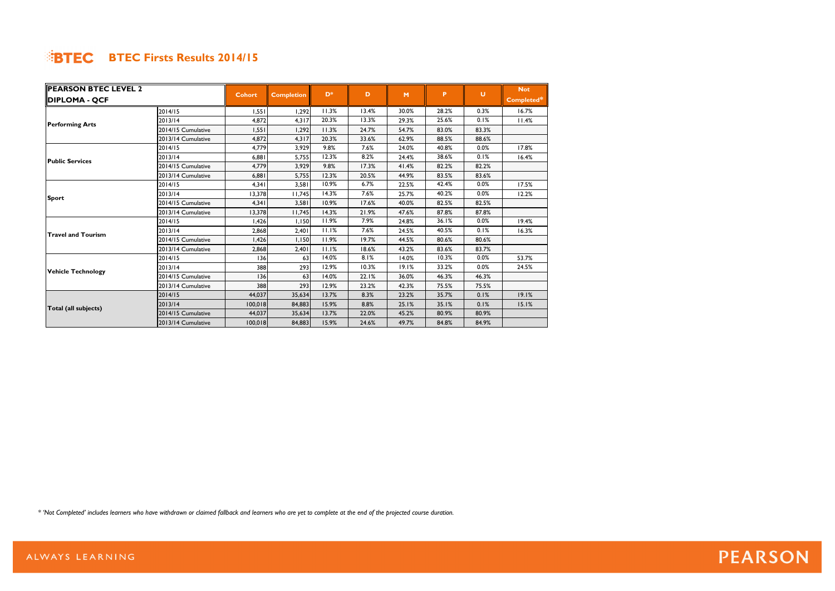| <b>PEARSON BTEC LEVEL 2</b> |                    |               |                   | $D^*$ | D     |       | P.    | U     | <b>Not</b> |
|-----------------------------|--------------------|---------------|-------------------|-------|-------|-------|-------|-------|------------|
| DIPLOMA - QCF               |                    | <b>Cohort</b> | <b>Completion</b> |       |       | M     |       |       | Completed* |
|                             | 2014/15            | 1.551         | 1,292             | 11.3% | 13.4% | 30.0% | 28.2% | 0.3%  | 16.7%      |
| <b>Performing Arts</b>      | 2013/14            | 4,872         | 4,317             | 20.3% | 13.3% | 29.3% | 25.6% | 0.1%  | 11.4%      |
|                             | 2014/15 Cumulative | 1,551         | 1,292             | 11.3% | 24.7% | 54.7% | 83.0% | 83.3% |            |
|                             | 2013/14 Cumulative | 4,872         | 4,317             | 20.3% | 33.6% | 62.9% | 88.5% | 88.6% |            |
|                             | 2014/15            | 4,779         | 3,929             | 9.8%  | 7.6%  | 24.0% | 40.8% | 0.0%  | 17.8%      |
| <b>Public Services</b>      | 2013/14            | 6,881         | 5,755             | 12.3% | 8.2%  | 24.4% | 38.6% | 0.1%  | 16.4%      |
|                             | 2014/15 Cumulative | 4.779         | 3,929             | 9.8%  | 17.3% | 41.4% | 82.2% | 82.2% |            |
|                             | 2013/14 Cumulative | 6,881         | 5,755             | 12.3% | 20.5% | 44.9% | 83.5% | 83.6% |            |
|                             | 2014/15            | 4,341         | 3,581             | 10.9% | 6.7%  | 22.5% | 42.4% | 0.0%  | 17.5%      |
|                             | 2013/14            | 13,378        | 11,745            | 14.3% | 7.6%  | 25.7% | 40.2% | 0.0%  | 12.2%      |
| <b>Sport</b>                | 2014/15 Cumulative | 4,341         | 3,581             | 10.9% | 17.6% | 40.0% | 82.5% | 82.5% |            |
|                             | 2013/14 Cumulative | 13,378        | 11,745            | 14.3% | 21.9% | 47.6% | 87.8% | 87.8% |            |
|                             | 2014/15            | 1,426         | I, I50            | 11.9% | 7.9%  | 24.8% | 36.1% | 0.0%  | 19.4%      |
| <b>Travel and Tourism</b>   | 2013/14            | 2,868         | 2,401             | 11.1% | 7.6%  | 24.5% | 40.5% | 0.1%  | 16.3%      |
|                             | 2014/15 Cumulative | 1,426         | 1,150             | 11.9% | 19.7% | 44.5% | 80.6% | 80.6% |            |
|                             | 2013/14 Cumulative | 2,868         | 2,401             | 11.1% | 18.6% | 43.2% | 83.6% | 83.7% |            |
|                             | 2014/15            | 136           | 63                | 14.0% | 8.1%  | 14.0% | 10.3% | 0.0%  | 53.7%      |
| <b>Vehicle Technology</b>   | 2013/14            | 388           | 293               | 12.9% | 10.3% | 19.1% | 33.2% | 0.0%  | 24.5%      |
|                             | 2014/15 Cumulative | 136           | 63                | 14.0% | 22.1% | 36.0% | 46.3% | 46.3% |            |
|                             | 2013/14 Cumulative | 388           | 293               | 12.9% | 23.2% | 42.3% | 75.5% | 75.5% |            |
|                             | 2014/15            | 44,037        | 35,634            | 13.7% | 8.3%  | 23.2% | 35.7% | 0.1%  | 19.1%      |
|                             | 2013/14            | 100,018       | 84,883            | 15.9% | 8.8%  | 25.1% | 35.1% | 0.1%  | 15.1%      |
| Total (all subjects)        | 2014/15 Cumulative | 44.037        | 35,634            | 13.7% | 22.0% | 45.2% | 80.9% | 80.9% |            |
|                             | 2013/14 Cumulative | 100,018       | 84,883            | 15.9% | 24.6% | 49.7% | 84.8% | 84.9% |            |

*\* 'Not Completed' includes learners who have withdrawn or claimed fallback and learners who are yet to complete at the end of the projected course duration.*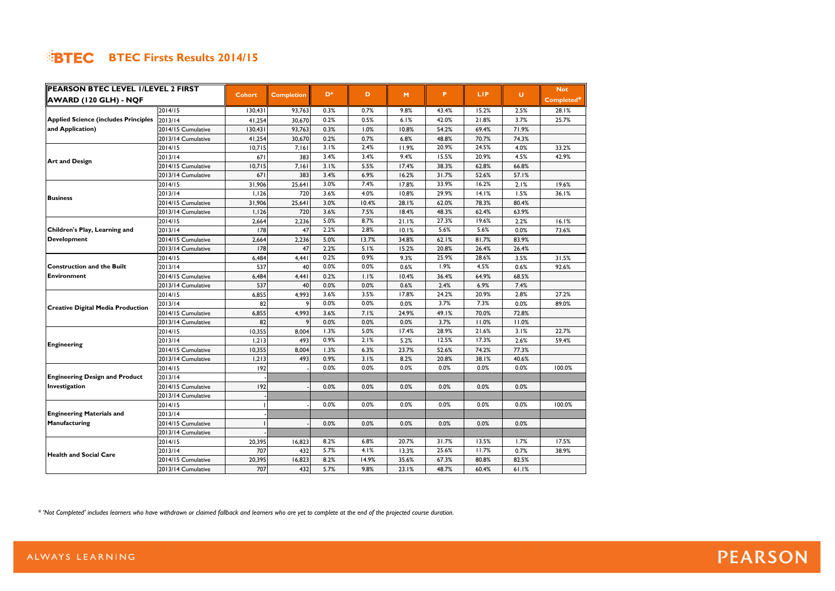| AWARD (120 GLH) - NQF<br>Completed*<br>2014/15<br>0.7%<br>43.4%<br>15.2%<br>130,431<br>93,763<br>0.3%<br>9.8%<br>2.5%<br>28.1%<br>0.2%<br><b>Applied Science (includes Principles</b><br>0.5%<br>42.0%<br>21.8%<br>3.7%<br>2013/14<br>41,254<br>30,670<br>6.1%<br>25.7%<br>and Application)<br>2014/15 Cumulative<br>130,431<br>93,763<br>0.3%<br>54.2%<br>69.4%<br>71.9%<br>1.0%<br>10.8%<br>30,670<br>2013/14 Cumulative<br>41,254<br>0.2%<br>0.7%<br>6.8%<br>48.8%<br>70.7%<br>74.3%<br>3.1%<br>2.4%<br>20.9%<br>24.5%<br>4.0%<br>2014/15<br>10,715<br>7,161<br>11.9%<br>33.2%<br>3.4%<br>15.5%<br>3.4%<br>20.9%<br>2013/14<br>671<br>383<br>9.4%<br>4.5%<br>42.9%<br><b>Art and Design</b><br>2014/15 Cumulative<br>10,715<br>3.1%<br>7,161<br>5.5%<br>17.4%<br>38.3%<br>62.8%<br>66.8%<br>671<br>3.4%<br>383<br>6.9%<br>31.7%<br>57.1%<br>2013/14 Cumulative<br>16.2%<br>52.6%<br>33.9%<br>3.0%<br>7.4%<br>16.2%<br>19.6%<br>25,641<br>17.8%<br>2.1%<br>2014/15<br>31,906<br>3.6%<br>4.0%<br>29.9%<br>14.1%<br>1,126<br>720<br>10.8%<br>1.5%<br>36.1%<br>2013/14<br><b>Business</b><br>31,906<br>25,641<br>3.0%<br>10.4%<br>28.1%<br>62.0%<br>80.4%<br>2014/15 Cumulative<br>78.3%<br>3.6%<br>720<br>7.5%<br>18.4%<br>48.3%<br>62.4%<br>63.9%<br>2013/14 Cumulative<br>1,126 | PEARSON BTEC LEVEL I/LEVEL 2 FIRST |  |               |                   |                |   |   |   |            |        | <b>Not</b> |
|-----------------------------------------------------------------------------------------------------------------------------------------------------------------------------------------------------------------------------------------------------------------------------------------------------------------------------------------------------------------------------------------------------------------------------------------------------------------------------------------------------------------------------------------------------------------------------------------------------------------------------------------------------------------------------------------------------------------------------------------------------------------------------------------------------------------------------------------------------------------------------------------------------------------------------------------------------------------------------------------------------------------------------------------------------------------------------------------------------------------------------------------------------------------------------------------------------------------------------------------------------------------------------------|------------------------------------|--|---------------|-------------------|----------------|---|---|---|------------|--------|------------|
|                                                                                                                                                                                                                                                                                                                                                                                                                                                                                                                                                                                                                                                                                                                                                                                                                                                                                                                                                                                                                                                                                                                                                                                                                                                                                   |                                    |  | <b>Cohort</b> | <b>Completion</b> | D <sup>*</sup> | D | M | P | <b>LIP</b> | $\cup$ |            |
|                                                                                                                                                                                                                                                                                                                                                                                                                                                                                                                                                                                                                                                                                                                                                                                                                                                                                                                                                                                                                                                                                                                                                                                                                                                                                   |                                    |  |               |                   |                |   |   |   |            |        |            |
|                                                                                                                                                                                                                                                                                                                                                                                                                                                                                                                                                                                                                                                                                                                                                                                                                                                                                                                                                                                                                                                                                                                                                                                                                                                                                   |                                    |  |               |                   |                |   |   |   |            |        |            |
|                                                                                                                                                                                                                                                                                                                                                                                                                                                                                                                                                                                                                                                                                                                                                                                                                                                                                                                                                                                                                                                                                                                                                                                                                                                                                   |                                    |  |               |                   |                |   |   |   |            |        |            |
|                                                                                                                                                                                                                                                                                                                                                                                                                                                                                                                                                                                                                                                                                                                                                                                                                                                                                                                                                                                                                                                                                                                                                                                                                                                                                   |                                    |  |               |                   |                |   |   |   |            |        |            |
|                                                                                                                                                                                                                                                                                                                                                                                                                                                                                                                                                                                                                                                                                                                                                                                                                                                                                                                                                                                                                                                                                                                                                                                                                                                                                   |                                    |  |               |                   |                |   |   |   |            |        |            |
|                                                                                                                                                                                                                                                                                                                                                                                                                                                                                                                                                                                                                                                                                                                                                                                                                                                                                                                                                                                                                                                                                                                                                                                                                                                                                   |                                    |  |               |                   |                |   |   |   |            |        |            |
|                                                                                                                                                                                                                                                                                                                                                                                                                                                                                                                                                                                                                                                                                                                                                                                                                                                                                                                                                                                                                                                                                                                                                                                                                                                                                   |                                    |  |               |                   |                |   |   |   |            |        |            |
|                                                                                                                                                                                                                                                                                                                                                                                                                                                                                                                                                                                                                                                                                                                                                                                                                                                                                                                                                                                                                                                                                                                                                                                                                                                                                   |                                    |  |               |                   |                |   |   |   |            |        |            |
|                                                                                                                                                                                                                                                                                                                                                                                                                                                                                                                                                                                                                                                                                                                                                                                                                                                                                                                                                                                                                                                                                                                                                                                                                                                                                   |                                    |  |               |                   |                |   |   |   |            |        |            |
|                                                                                                                                                                                                                                                                                                                                                                                                                                                                                                                                                                                                                                                                                                                                                                                                                                                                                                                                                                                                                                                                                                                                                                                                                                                                                   |                                    |  |               |                   |                |   |   |   |            |        |            |
|                                                                                                                                                                                                                                                                                                                                                                                                                                                                                                                                                                                                                                                                                                                                                                                                                                                                                                                                                                                                                                                                                                                                                                                                                                                                                   |                                    |  |               |                   |                |   |   |   |            |        |            |
|                                                                                                                                                                                                                                                                                                                                                                                                                                                                                                                                                                                                                                                                                                                                                                                                                                                                                                                                                                                                                                                                                                                                                                                                                                                                                   |                                    |  |               |                   |                |   |   |   |            |        |            |
| 5.0%<br>8.7%<br>21.1%<br>27.3%<br>19.6%<br>2.2%<br>16.1%<br>2014/15<br>2,664<br>2,236                                                                                                                                                                                                                                                                                                                                                                                                                                                                                                                                                                                                                                                                                                                                                                                                                                                                                                                                                                                                                                                                                                                                                                                             |                                    |  |               |                   |                |   |   |   |            |        |            |
| 5.6%<br>Children's Play, Learning and<br>2013/14<br> 78 <br>2.2%<br>2.8%<br>5.6%<br>47<br>10.1%<br>0.0%<br>73.6%                                                                                                                                                                                                                                                                                                                                                                                                                                                                                                                                                                                                                                                                                                                                                                                                                                                                                                                                                                                                                                                                                                                                                                  |                                    |  |               |                   |                |   |   |   |            |        |            |
| <b>Development</b><br>2,236<br>5.0%<br>2014/15 Cumulative<br>2,664<br>13.7%<br>34.8%<br>62.1%<br>81.7%<br>83.9%                                                                                                                                                                                                                                                                                                                                                                                                                                                                                                                                                                                                                                                                                                                                                                                                                                                                                                                                                                                                                                                                                                                                                                   |                                    |  |               |                   |                |   |   |   |            |        |            |
| 47<br>2013/14 Cumulative<br>178<br>2.2%<br>5.1%<br>20.8%<br>15.2%<br>26.4%<br>26.4%                                                                                                                                                                                                                                                                                                                                                                                                                                                                                                                                                                                                                                                                                                                                                                                                                                                                                                                                                                                                                                                                                                                                                                                               |                                    |  |               |                   |                |   |   |   |            |        |            |
| 0.2%<br>0.9%<br>25.9%<br>28.6%<br>2014/15<br>6,484<br>4,441<br>9.3%<br>3.5%<br>31.5%                                                                                                                                                                                                                                                                                                                                                                                                                                                                                                                                                                                                                                                                                                                                                                                                                                                                                                                                                                                                                                                                                                                                                                                              |                                    |  |               |                   |                |   |   |   |            |        |            |
| 0.0%<br>1.9%<br>537<br>0.0%<br>0.6%<br>4.5%<br><b>Construction and the Built</b><br>2013/14<br>40<br>0.6%<br>92.6%                                                                                                                                                                                                                                                                                                                                                                                                                                                                                                                                                                                                                                                                                                                                                                                                                                                                                                                                                                                                                                                                                                                                                                |                                    |  |               |                   |                |   |   |   |            |        |            |
| 6,484<br>4,441<br>0.2%<br>Environment<br>2014/15 Cumulative<br>1.1%<br>10.4%<br>36.4%<br>64.9%<br>68.5%                                                                                                                                                                                                                                                                                                                                                                                                                                                                                                                                                                                                                                                                                                                                                                                                                                                                                                                                                                                                                                                                                                                                                                           |                                    |  |               |                   |                |   |   |   |            |        |            |
| 537<br>0.0%<br>2.4%<br>2013/14 Cumulative<br>40<br>0.0%<br>0.6%<br>6.9%<br>7.4%                                                                                                                                                                                                                                                                                                                                                                                                                                                                                                                                                                                                                                                                                                                                                                                                                                                                                                                                                                                                                                                                                                                                                                                                   |                                    |  |               |                   |                |   |   |   |            |        |            |
| 3.6%<br>3.5%<br>24.2%<br>4,993<br>17.8%<br>20.9%<br>2.8%<br>27.2%<br>2014/15<br>6,855                                                                                                                                                                                                                                                                                                                                                                                                                                                                                                                                                                                                                                                                                                                                                                                                                                                                                                                                                                                                                                                                                                                                                                                             |                                    |  |               |                   |                |   |   |   |            |        |            |
| 0.0%<br>0.0%<br>3.7%<br>7.3%<br>2013/14<br>82<br>0.0%<br>0.0%<br>89.0%<br>9                                                                                                                                                                                                                                                                                                                                                                                                                                                                                                                                                                                                                                                                                                                                                                                                                                                                                                                                                                                                                                                                                                                                                                                                       |                                    |  |               |                   |                |   |   |   |            |        |            |
| <b>Creative Digital Media Production</b><br>3.6%<br>2014/15 Cumulative<br>6,855<br>4,993<br>7.1%<br>24.9%<br>49.1%<br>70.0%<br>72.8%                                                                                                                                                                                                                                                                                                                                                                                                                                                                                                                                                                                                                                                                                                                                                                                                                                                                                                                                                                                                                                                                                                                                              |                                    |  |               |                   |                |   |   |   |            |        |            |
| 82<br>9<br>0.0%<br>0.0%<br>0.0%<br>3.7%<br>2013/14 Cumulative<br>11.0%<br>11.0%                                                                                                                                                                                                                                                                                                                                                                                                                                                                                                                                                                                                                                                                                                                                                                                                                                                                                                                                                                                                                                                                                                                                                                                                   |                                    |  |               |                   |                |   |   |   |            |        |            |
| 1.3%<br>28.9%<br>21.6%<br>5.0%<br>8,004<br>2014/15<br>10,355<br>17.4%<br>3.1%<br>22.7%                                                                                                                                                                                                                                                                                                                                                                                                                                                                                                                                                                                                                                                                                                                                                                                                                                                                                                                                                                                                                                                                                                                                                                                            |                                    |  |               |                   |                |   |   |   |            |        |            |
| 0.9%<br>12.5%<br>2.1%<br>17.3%<br>2013/14<br>493<br>1,213<br>5.2%<br>2.6%<br>59.4%                                                                                                                                                                                                                                                                                                                                                                                                                                                                                                                                                                                                                                                                                                                                                                                                                                                                                                                                                                                                                                                                                                                                                                                                |                                    |  |               |                   |                |   |   |   |            |        |            |
| Engineering<br>2014/15 Cumulative<br>10,355<br>8,004<br>77.3%<br>1.3%<br>6.3%<br>23.7%<br>52.6%<br>74.2%                                                                                                                                                                                                                                                                                                                                                                                                                                                                                                                                                                                                                                                                                                                                                                                                                                                                                                                                                                                                                                                                                                                                                                          |                                    |  |               |                   |                |   |   |   |            |        |            |
| 493<br>0.9%<br>2013/14 Cumulative<br>3.1%<br>8.2%<br>20.8%<br>38.1%<br>40.6%<br>1,213                                                                                                                                                                                                                                                                                                                                                                                                                                                                                                                                                                                                                                                                                                                                                                                                                                                                                                                                                                                                                                                                                                                                                                                             |                                    |  |               |                   |                |   |   |   |            |        |            |
| 0.0%<br>0.0%<br>0.0%<br>0.0%<br>192<br>0.0%<br>0.0%<br>100.0%<br>2014/15                                                                                                                                                                                                                                                                                                                                                                                                                                                                                                                                                                                                                                                                                                                                                                                                                                                                                                                                                                                                                                                                                                                                                                                                          |                                    |  |               |                   |                |   |   |   |            |        |            |
| <b>Engineering Design and Product</b><br>2013/14                                                                                                                                                                                                                                                                                                                                                                                                                                                                                                                                                                                                                                                                                                                                                                                                                                                                                                                                                                                                                                                                                                                                                                                                                                  |                                    |  |               |                   |                |   |   |   |            |        |            |
| Investigation<br>192<br>2014/15 Cumulative<br>0.0%<br>0.0%<br>0.0%<br>0.0%<br>0.0%<br>0.0%                                                                                                                                                                                                                                                                                                                                                                                                                                                                                                                                                                                                                                                                                                                                                                                                                                                                                                                                                                                                                                                                                                                                                                                        |                                    |  |               |                   |                |   |   |   |            |        |            |
| 2013/14 Cumulative                                                                                                                                                                                                                                                                                                                                                                                                                                                                                                                                                                                                                                                                                                                                                                                                                                                                                                                                                                                                                                                                                                                                                                                                                                                                |                                    |  |               |                   |                |   |   |   |            |        |            |
| 0.0%<br>0.0%<br>0.0%<br>0.0%<br>0.0%<br>0.0%<br>100.0%<br>2014/15                                                                                                                                                                                                                                                                                                                                                                                                                                                                                                                                                                                                                                                                                                                                                                                                                                                                                                                                                                                                                                                                                                                                                                                                                 |                                    |  |               |                   |                |   |   |   |            |        |            |
| <b>Engineering Materials and</b><br>2013/14                                                                                                                                                                                                                                                                                                                                                                                                                                                                                                                                                                                                                                                                                                                                                                                                                                                                                                                                                                                                                                                                                                                                                                                                                                       |                                    |  |               |                   |                |   |   |   |            |        |            |
| 2014/15 Cumulative<br>Manufacturing<br>0.0%<br>0.0%<br>0.0%<br>0.0%<br>0.0%<br>0.0%                                                                                                                                                                                                                                                                                                                                                                                                                                                                                                                                                                                                                                                                                                                                                                                                                                                                                                                                                                                                                                                                                                                                                                                               |                                    |  |               |                   |                |   |   |   |            |        |            |
| 2013/14 Cumulative                                                                                                                                                                                                                                                                                                                                                                                                                                                                                                                                                                                                                                                                                                                                                                                                                                                                                                                                                                                                                                                                                                                                                                                                                                                                |                                    |  |               |                   |                |   |   |   |            |        |            |
| 8.2%<br>6.8%<br>31.7%<br>13.5%<br>17.5%<br>20,395<br>16,823<br>20.7%<br>1.7%<br>2014/15                                                                                                                                                                                                                                                                                                                                                                                                                                                                                                                                                                                                                                                                                                                                                                                                                                                                                                                                                                                                                                                                                                                                                                                           |                                    |  |               |                   |                |   |   |   |            |        |            |
| 707<br>432<br>5.7%<br>4.1%<br>25.6%<br>11.7%<br>38.9%<br>2013/14<br>13.3%<br>0.7%                                                                                                                                                                                                                                                                                                                                                                                                                                                                                                                                                                                                                                                                                                                                                                                                                                                                                                                                                                                                                                                                                                                                                                                                 |                                    |  |               |                   |                |   |   |   |            |        |            |
| <b>Health and Social Care</b><br>2014/15 Cumulative<br>20,395<br>16,823<br>8.2%<br>67.3%<br>14.9%<br>35.6%<br>80.8%<br>82.5%                                                                                                                                                                                                                                                                                                                                                                                                                                                                                                                                                                                                                                                                                                                                                                                                                                                                                                                                                                                                                                                                                                                                                      |                                    |  |               |                   |                |   |   |   |            |        |            |
| 707<br>2013/14 Cumulative<br>432<br>5.7%<br>9.8%<br>23.1%<br>48.7%<br>60.4%<br>61.1%                                                                                                                                                                                                                                                                                                                                                                                                                                                                                                                                                                                                                                                                                                                                                                                                                                                                                                                                                                                                                                                                                                                                                                                              |                                    |  |               |                   |                |   |   |   |            |        |            |

*\* 'Not Completed' includes learners who have withdrawn or claimed fallback and learners who are yet to complete at the end of the projected course duration.*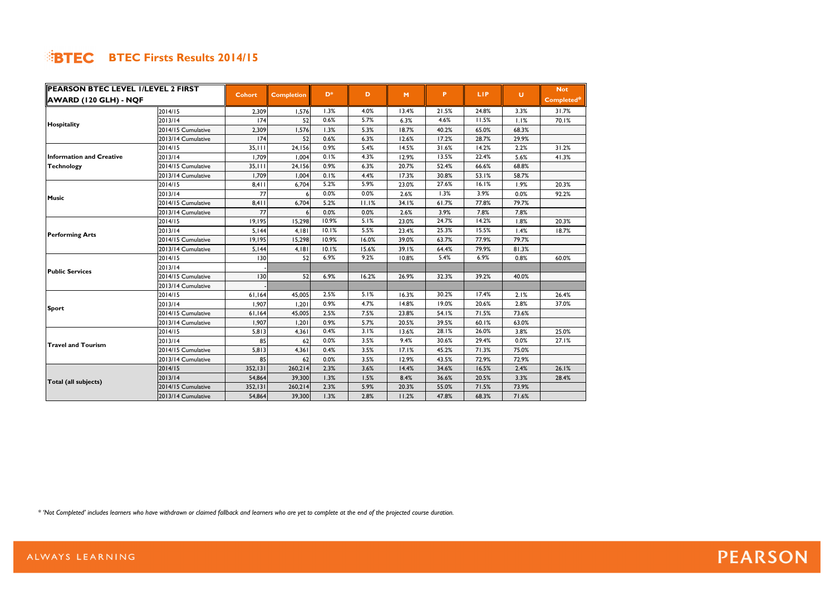| PEARSON BTEC LEVEL I/LEVEL 2 FIRST |                    |               |                   | D <sup>*</sup> |       |       |       |            |        | <b>Not</b> |
|------------------------------------|--------------------|---------------|-------------------|----------------|-------|-------|-------|------------|--------|------------|
| AWARD (120 GLH) - NQF              |                    | <b>Cohort</b> | <b>Completion</b> |                | D     | M     | P.    | <b>LIP</b> | $\cup$ | Completed* |
|                                    | 2014/15            | 2,309         | 1,576             | 1.3%           | 4.0%  | 13.4% | 21.5% | 24.8%      | 3.3%   | 31.7%      |
| Hospitality                        | 2013/14            | 174           | 52                | 0.6%           | 5.7%  | 6.3%  | 4.6%  | 11.5%      | 1.1%   | 70.1%      |
|                                    | 2014/15 Cumulative | 2,309         | 1,576             | 1.3%           | 5.3%  | 18.7% | 40.2% | 65.0%      | 68.3%  |            |
|                                    | 2013/14 Cumulative | 174           | 52                | 0.6%           | 6.3%  | 12.6% | 17.2% | 28.7%      | 29.9%  |            |
|                                    | 2014/15            | 35,111        | 24,156            | 0.9%           | 5.4%  | 14.5% | 31.6% | 14.2%      | 2.2%   | 31.2%      |
| <b>Information and Creative</b>    | 2013/14            | 1,709         | 1,004             | 0.1%           | 4.3%  | 12.9% | 13.5% | 22.4%      | 5.6%   | 41.3%      |
| <b>Technology</b>                  | 2014/15 Cumulative | 35,111        | 24,156            | 0.9%           | 6.3%  | 20.7% | 52.4% | 66.6%      | 68.8%  |            |
|                                    | 2013/14 Cumulative | 1,709         | 1,004             | 0.1%           | 4.4%  | 17.3% | 30.8% | 53.1%      | 58.7%  |            |
|                                    | 2014/15            | 8,411         | 6,704             | 5.2%           | 5.9%  | 23.0% | 27.6% | 16.1%      | 1.9%   | 20.3%      |
| <b>Music</b>                       | 2013/14            | 77            |                   | 0.0%           | 0.0%  | 2.6%  | 1.3%  | 3.9%       | 0.0%   | 92.2%      |
|                                    | 2014/15 Cumulative | 8,411         | 6,704             | 5.2%           | 11.1% | 34.1% | 61.7% | 77.8%      | 79.7%  |            |
|                                    | 2013/14 Cumulative | 77            | 6                 | 0.0%           | 0.0%  | 2.6%  | 3.9%  | 7.8%       | 7.8%   |            |
|                                    | 2014/15            | 19,195        | 15,298            | 10.9%          | 5.1%  | 23.0% | 24.7% | 14.2%      | 1.8%   | 20.3%      |
| <b>Performing Arts</b>             | 2013/14            | 5,144         | 4,181             | 10.1%          | 5.5%  | 23.4% | 25.3% | 15.5%      | 1.4%   | 18.7%      |
|                                    | 2014/15 Cumulative | 19,195        | 15,298            | 10.9%          | 16.0% | 39.0% | 63.7% | 77.9%      | 79.7%  |            |
|                                    | 2013/14 Cumulative | 5,144         | 4,181             | 10.1%          | 15.6% | 39.1% | 64.4% | 79.9%      | 81.3%  |            |
|                                    | 2014/15            | 130           | 52                | 6.9%           | 9.2%  | 10.8% | 5.4%  | 6.9%       | 0.8%   | 60.0%      |
| <b>Public Services</b>             | 2013/14            |               |                   |                |       |       |       |            |        |            |
|                                    | 2014/15 Cumulative | 130           | 52                | 6.9%           | 16.2% | 26.9% | 32.3% | 39.2%      | 40.0%  |            |
|                                    | 2013/14 Cumulative |               |                   |                |       |       |       |            |        |            |
|                                    | 2014/15            | 61,164        | 45,005            | 2.5%           | 5.1%  | 16.3% | 30.2% | 17.4%      | 2.1%   | 26.4%      |
| <b>Sport</b>                       | 2013/14            | 1,907         | 1,201             | 0.9%           | 4.7%  | 14.8% | 19.0% | 20.6%      | 2.8%   | 37.0%      |
|                                    | 2014/15 Cumulative | 61,164        | 45,005            | 2.5%           | 7.5%  | 23.8% | 54.1% | 71.5%      | 73.6%  |            |
|                                    | 2013/14 Cumulative | 1,907         | 1,201             | 0.9%           | 5.7%  | 20.5% | 39.5% | 60.1%      | 63.0%  |            |
|                                    | 2014/15            | 5,813         | 4,361             | 0.4%           | 3.1%  | 13.6% | 28.1% | 26.0%      | 3.8%   | 25.0%      |
| Travel and Tourism                 | 2013/14            | 85            | 62                | 0.0%           | 3.5%  | 9.4%  | 30.6% | 29.4%      | 0.0%   | 27.1%      |
|                                    | 2014/15 Cumulative | 5,813         | 4,361             | 0.4%           | 3.5%  | 17.1% | 45.2% | 71.3%      | 75.0%  |            |
|                                    | 2013/14 Cumulative | 85            | 62                | 0.0%           | 3.5%  | 12.9% | 43.5% | 72.9%      | 72.9%  |            |
|                                    | 2014/15            | 352, 131      | 260,214           | 2.3%           | 3.6%  | 14.4% | 34.6% | 16.5%      | 2.4%   | 26.1%      |
| Total (all subjects)               | 2013/14            | 54,864        | 39,300            | 1.3%           | 1.5%  | 8.4%  | 36.6% | 20.5%      | 3.3%   | 28.4%      |
|                                    | 2014/15 Cumulative | 352, 131      | 260,214           | 2.3%           | 5.9%  | 20.3% | 55.0% | 71.5%      | 73.9%  |            |
|                                    | 2013/14 Cumulative | 54,864        | 39,300            | 1.3%           | 2.8%  | 11.2% | 47.8% | 68.3%      | 71.6%  |            |

*\* 'Not Completed' includes learners who have withdrawn or claimed fallback and learners who are yet to complete at the end of the projected course duration.*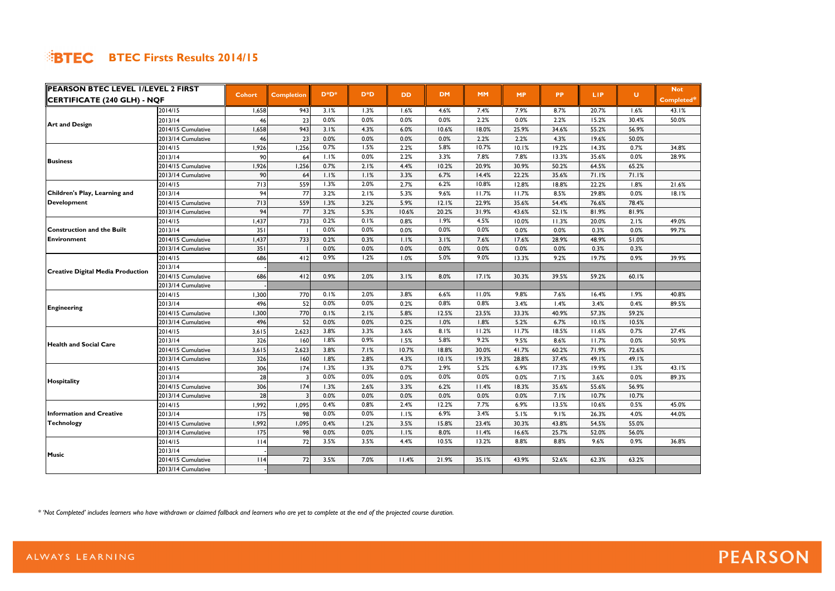| PEARSON BTEC LEVEL I/LEVEL 2 FIRST       |                    |               |                   |          |                  |           |           |           |           |           |            |       | <b>Not</b> |
|------------------------------------------|--------------------|---------------|-------------------|----------|------------------|-----------|-----------|-----------|-----------|-----------|------------|-------|------------|
| <b>CERTIFICATE (240 GLH) - NQF</b>       |                    | <b>Cohort</b> | <b>Completion</b> | $D^*D^*$ | D <sup>*</sup> D | <b>DD</b> | <b>DM</b> | <b>MM</b> | <b>MP</b> | <b>PP</b> | <b>LIP</b> | U.    | Completed* |
|                                          | 2014/15            | 1,658         | 943               | 3.1%     | 1.3%             | 1.6%      | 4.6%      | 7.4%      | 7.9%      | 8.7%      | 20.7%      | 1.6%  | 43.1%      |
| <b>Art and Design</b>                    | 2013/14            | 46            | 23                | 0.0%     | 0.0%             | 0.0%      | 0.0%      | 2.2%      | 0.0%      | 2.2%      | 15.2%      | 30.4% | 50.0%      |
|                                          | 2014/15 Cumulative | 1,658         | 943               | 3.1%     | 4.3%             | 6.0%      | 10.6%     | 18.0%     | 25.9%     | 34.6%     | 55.2%      | 56.9% |            |
|                                          | 2013/14 Cumulative | 46            | 23                | 0.0%     | 0.0%             | 0.0%      | 0.0%      | 2.2%      | 2.2%      | 4.3%      | 19.6%      | 50.0% |            |
|                                          | 2014/15            | 1,926         | 1,256             | 0.7%     | 1.5%             | 2.2%      | 5.8%      | 10.7%     | 10.1%     | 19.2%     | 14.3%      | 0.7%  | 34.8%      |
| <b>Business</b>                          | 2013/14            | 90            | 64                | 1.1%     | 0.0%             | 2.2%      | 3.3%      | 7.8%      | 7.8%      | 13.3%     | 35.6%      | 0.0%  | 28.9%      |
|                                          | 2014/15 Cumulative | 1,926         | 1,256             | 0.7%     | 2.1%             | 4.4%      | 10.2%     | 20.9%     | 30.9%     | 50.2%     | 64.5%      | 65.2% |            |
|                                          | 2013/14 Cumulative | 90            | 64                | 1.1%     | 1.1%             | 3.3%      | 6.7%      | 14.4%     | 22.2%     | 35.6%     | 71.1%      | 71.1% |            |
|                                          | 2014/15            | 713           | 559               | 1.3%     | 2.0%             | 2.7%      | 6.2%      | 10.8%     | 12.8%     | 18.8%     | 22.2%      | 1.8%  | 21.6%      |
| Children's Play, Learning and            | 2013/14            | 94            | 77                | 3.2%     | 2.1%             | 5.3%      | 9.6%      | 11.7%     | 11.7%     | 8.5%      | 29.8%      | 0.0%  | 18.1%      |
| Development                              | 2014/15 Cumulative | 713           | 559               | 1.3%     | 3.2%             | 5.9%      | 12.1%     | 22.9%     | 35.6%     | 54.4%     | 76.6%      | 78.4% |            |
|                                          | 2013/14 Cumulative | 94            | 77                | 3.2%     | 5.3%             | 10.6%     | 20.2%     | 31.9%     | 43.6%     | 52.1%     | 81.9%      | 81.9% |            |
|                                          | 2014/15            | 1,437         | 733               | 0.2%     | 0.1%             | 0.8%      | 1.9%      | 4.5%      | 10.0%     | 11.3%     | 20.0%      | 2.1%  | 49.0%      |
| Construction and the Built               | 2013/14            | 351           |                   | 0.0%     | 0.0%             | 0.0%      | 0.0%      | 0.0%      | 0.0%      | 0.0%      | 0.3%       | 0.0%  | 99.7%      |
| Environment                              | 2014/15 Cumulative | 1,437         | 733               | 0.2%     | 0.3%             | 1.1%      | 3.1%      | 7.6%      | 17.6%     | 28.9%     | 48.9%      | 51.0% |            |
|                                          | 2013/14 Cumulative | 351           |                   | 0.0%     | 0.0%             | 0.0%      | 0.0%      | 0.0%      | 0.0%      | 0.0%      | 0.3%       | 0.3%  |            |
|                                          | 2014/15            | 686           | 412               | 0.9%     | 1.2%             | 1.0%      | 5.0%      | 9.0%      | 13.3%     | 9.2%      | 19.7%      | 0.9%  | 39.9%      |
| <b>Creative Digital Media Production</b> | 2013/14            |               |                   |          |                  |           |           |           |           |           |            |       |            |
|                                          | 2014/15 Cumulative | 686           | 412               | 0.9%     | 2.0%             | 3.1%      | 8.0%      | 17.1%     | 30.3%     | 39.5%     | 59.2%      | 60.1% |            |
|                                          | 2013/14 Cumulative |               |                   |          |                  |           |           |           |           |           |            |       |            |
|                                          | 2014/15            | 1,300         | 770               | 0.1%     | 2.0%             | 3.8%      | 6.6%      | 11.0%     | 9.8%      | 7.6%      | 16.4%      | 1.9%  | 40.8%      |
|                                          | 2013/14            | 496           | 52                | 0.0%     | 0.0%             | 0.2%      | 0.8%      | 0.8%      | 3.4%      | 1.4%      | 3.4%       | 0.4%  | 89.5%      |
| Engineering                              | 2014/15 Cumulative | 1,300         | 770               | 0.1%     | 2.1%             | 5.8%      | 12.5%     | 23.5%     | 33.3%     | 40.9%     | 57.3%      | 59.2% |            |
|                                          | 2013/14 Cumulative | 496           | 52                | 0.0%     | 0.0%             | 0.2%      | 1.0%      | 1.8%      | 5.2%      | 6.7%      | 10.1%      | 10.5% |            |
|                                          | 2014/15            | 3,615         | 2,623             | 3.8%     | 3.3%             | 3.6%      | 8.1%      | 11.2%     | 11.7%     | 18.5%     | 11.6%      | 0.7%  | 27.4%      |
| <b>Health and Social Care</b>            | 2013/14            | 326           | 160               | 1.8%     | 0.9%             | 1.5%      | 5.8%      | 9.2%      | 9.5%      | 8.6%      | 11.7%      | 0.0%  | 50.9%      |
|                                          | 2014/15 Cumulative | 3,615         | 2,623             | 3.8%     | 7.1%             | 10.7%     | 18.8%     | 30.0%     | 41.7%     | 60.2%     | 71.9%      | 72.6% |            |
|                                          | 2013/14 Cumulative | 326           | 160               | 1.8%     | 2.8%             | 4.3%      | 10.1%     | 19.3%     | 28.8%     | 37.4%     | 49.1%      | 49.1% |            |
|                                          | 2014/15            | 306           | 174               | 1.3%     | 1.3%             | 0.7%      | 2.9%      | 5.2%      | 6.9%      | 17.3%     | 19.9%      | 1.3%  | 43.1%      |
| Hospitality                              | 2013/14            | 28            |                   | 0.0%     | 0.0%             | 0.0%      | 0.0%      | 0.0%      | 0.0%      | 7.1%      | 3.6%       | 0.0%  | 89.3%      |
|                                          | 2014/15 Cumulative | 306           | 174               | 1.3%     | 2.6%             | 3.3%      | 6.2%      | 11.4%     | 18.3%     | 35.6%     | 55.6%      | 56.9% |            |
|                                          | 2013/14 Cumulative | 28            |                   | 0.0%     | 0.0%             | 0.0%      | 0.0%      | 0.0%      | 0.0%      | 7.1%      | 10.7%      | 10.7% |            |
|                                          | 2014/15            | 1,992         | 1,095             | 0.4%     | 0.8%             | 2.4%      | 12.2%     | 7.7%      | 6.9%      | 13.5%     | 10.6%      | 0.5%  | 45.0%      |
| <b>Information and Creative</b>          | 2013/14            | <b>175</b>    | 98                | 0.0%     | 0.0%             | 1.1%      | 6.9%      | 3.4%      | 5.1%      | 9.1%      | 26.3%      | 4.0%  | 44.0%      |
| Technology                               | 2014/15 Cumulative | 1,992         | 1,095             | 0.4%     | 1.2%             | 3.5%      | 15.8%     | 23.4%     | 30.3%     | 43.8%     | 54.5%      | 55.0% |            |
|                                          | 2013/14 Cumulative | 175           | 98                | 0.0%     | 0.0%             | 1.1%      | 8.0%      | 11.4%     | 16.6%     | 25.7%     | 52.0%      | 56.0% |            |
|                                          | 2014/15            | $ $   $ $     | 72                | 3.5%     | 3.5%             | 4.4%      | 10.5%     | 13.2%     | 8.8%      | 8.8%      | 9.6%       | 0.9%  | 36.8%      |
| <b>Music</b>                             | 2013/14            |               |                   |          |                  |           |           |           |           |           |            |       |            |
|                                          | 2014/15 Cumulative | $ $  4        | 72                | 3.5%     | 7.0%             | 11.4%     | 21.9%     | 35.1%     | 43.9%     | 52.6%     | 62.3%      | 63.2% |            |
|                                          | 2013/14 Cumulative |               |                   |          |                  |           |           |           |           |           |            |       |            |

*\* 'Not Completed' includes learners who have withdrawn or claimed fallback and learners who are yet to complete at the end of the projected course duration.*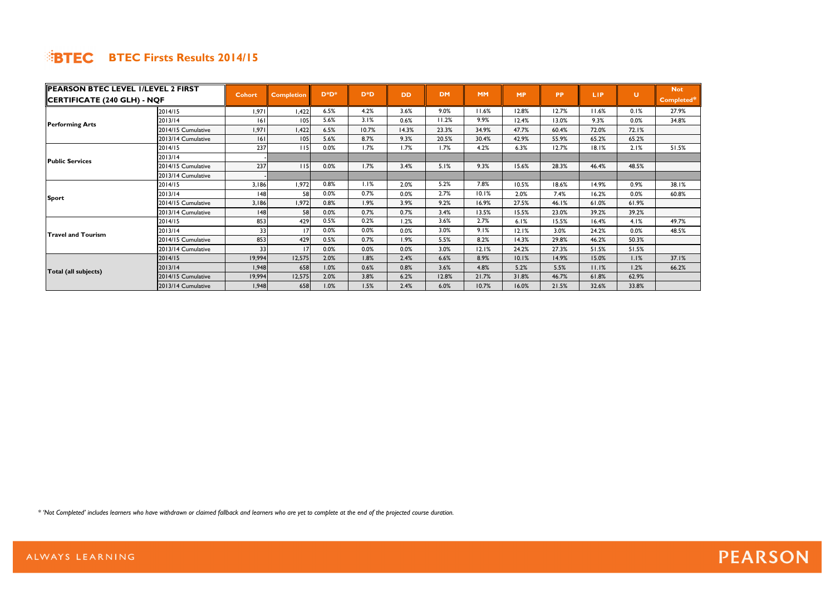| PEARSON BTEC LEVEL I/LEVEL 2 FIRST |                     |               |                   |          |                  |           |           |           |           |           |            |       | <b>Not</b> |
|------------------------------------|---------------------|---------------|-------------------|----------|------------------|-----------|-----------|-----------|-----------|-----------|------------|-------|------------|
| CERTIFICATE (240 GLH) - NQF        |                     | <b>Cohort</b> | <b>Completion</b> | $D^*D^*$ | D <sup>*</sup> D | <b>DD</b> | <b>DM</b> | <b>MM</b> | <b>MP</b> | <b>PP</b> | <b>LIP</b> | U     | Completed* |
|                                    | 2014/15             | 1,971         | I,422             | 6.5%     | 4.2%             | 3.6%      | $9.0\%$   | 11.6%     | 12.8%     | 12.7%     | 11.6%      | 0.1%  | 27.9%      |
|                                    | 2013/14             | 6             | 105               | 5.6%     | 3.1%             | 0.6%      | 11.2%     | 9.9%      | 12.4%     | 13.0%     | 9.3%       | 0.0%  | 34.8%      |
| <b>Performing Arts</b>             | 2014/15 Cumulative  | 1,971         | 422. ا            | 6.5%     | 10.7%            | 14.3%     | 23.3%     | 34.9%     | 47.7%     | 60.4%     | 72.0%      | 72.1% |            |
|                                    | 2013/14 Cumulative  | 6             | 105               | 5.6%     | 8.7%             | 9.3%      | 20.5%     | 30.4%     | 42.9%     | 55.9%     | 65.2%      | 65.2% |            |
|                                    | 2014/15             | 237           | l I 5             | 0.0%     | 1.7%             | 1.7%      | 1.7%      | 4.2%      | 6.3%      | 12.7%     | 18.1%      | 2.1%  | 51.5%      |
| <b>Public Services</b>             | 2013/14             |               |                   |          |                  |           |           |           |           |           |            |       |            |
|                                    | 2014/15 Cumulative  | 237           | 115               | 0.0%     | 1.7%             | 3.4%      | 5.1%      | 9.3%      | 15.6%     | 28.3%     | 46.4%      | 48.5% |            |
|                                    | 2013/14 Cumulative  |               |                   |          |                  |           |           |           |           |           |            |       |            |
|                                    | 2014/15             | 3,186         | 1,972             | 0.8%     | 1.1%             | 2.0%      | 5.2%      | 7.8%      | 10.5%     | 18.6%     | 14.9%      | 0.9%  | 38.I%      |
|                                    | 2013/14             | 48            | 58                | 0.0%     | 0.7%             | 0.0%      | 2.7%      | 10.1%     | 2.0%      | 7.4%      | 16.2%      | 0.0%  | 60.8%      |
| Sport                              | 2014/15 Cumulative  | 3,186         | 1,972             | 0.8%     | 1.9%             | 3.9%      | 9.2%      | 16.9%     | 27.5%     | 46.1%     | 61.0%      | 61.9% |            |
|                                    | 2013/14 Cumulative  | 48            | 58                | 0.0%     | 0.7%             | 0.7%      | 3.4%      | 13.5%     | 15.5%     | 23.0%     | 39.2%      | 39.2% |            |
|                                    | 2014/15             | 853           | 429               | 0.5%     | 0.2%             | 1.2%      | 3.6%      | 2.7%      | 6.1%      | 15.5%     | 16.4%      | 4.1%  | 49.7%      |
| <b>Travel and Tourism</b>          | 2013/14             | 33            |                   | 0.0%     | $0.0\%$          | 0.0%      | 3.0%      | 9.1%      | 12.1%     | 3.0%      | 24.2%      | 0.0%  | 48.5%      |
|                                    | 2014/15 Cumulative  | 853           | 429               | 0.5%     | 0.7%             | 1.9%      | 5.5%      | 8.2%      | 14.3%     | 29.8%     | 46.2%      | 50.3% |            |
|                                    | 2013/14 Cumulative  | 33            |                   | 0.0%     | 0.0%             | 0.0%      | 3.0%      | 12.1%     | 24.2%     | 27.3%     | 51.5%      | 51.5% |            |
|                                    | 2014/15             | 19,994        | 12,575            | 2.0%     | 1.8%             | 2.4%      | 6.6%      | 8.9%      | 10.1%     | 14.9%     | 15.0%      | 1.1%  | 37.1%      |
| Total (all subjects)               | 2013/14             | 1,948         | 658               | 1.0%     | 0.6%             | 0.8%      | 3.6%      | 4.8%      | 5.2%      | 5.5%      | 11.1%      | 1.2%  | 66.2%      |
|                                    | 12014/15 Cumulative | 19,994        | 12,575            | 2.0%     | 3.8%             | 6.2%      | 12.8%     | 21.7%     | 31.8%     | 46.7%     | 61.8%      | 62.9% |            |
|                                    | 2013/14 Cumulative  | 1,948         | 658               | 1.0%     | 1.5%             | 2.4%      | 6.0%      | 10.7%     | 16.0%     | 21.5%     | 32.6%      | 33.8% |            |

*\* 'Not Completed' includes learners who have withdrawn or claimed fallback and learners who are yet to complete at the end of the projected course duration.*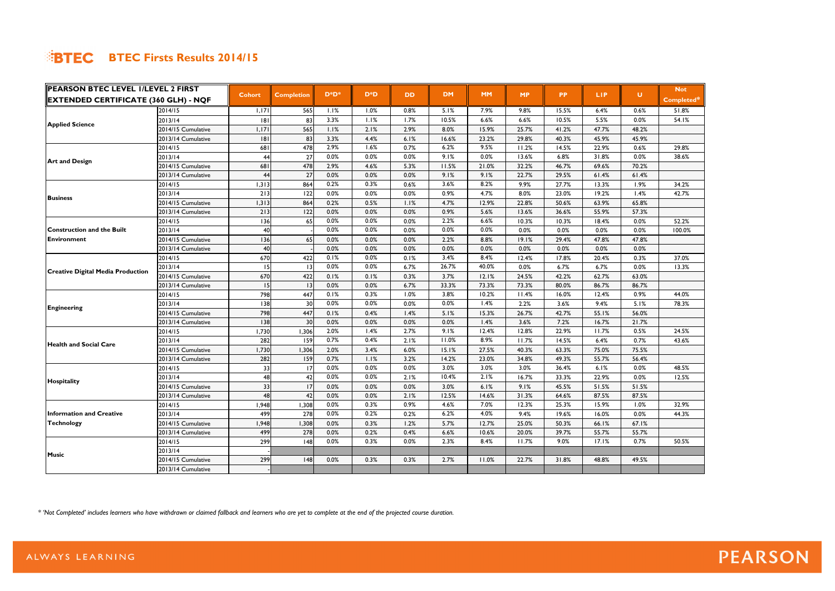| PEARSON BTEC LEVEL I/LEVEL 2 FIRST                                                                               |                    |               |                   |          |                  |      |           |           |           |           |       |       | <b>Not</b> |
|------------------------------------------------------------------------------------------------------------------|--------------------|---------------|-------------------|----------|------------------|------|-----------|-----------|-----------|-----------|-------|-------|------------|
| <b> EXTENDED CERTIFICATE (360 GLH) - NQF</b>                                                                     |                    | <b>Cohort</b> | <b>Completion</b> | $D^*D^*$ | D <sup>*</sup> D | DD.  | <b>DM</b> | <b>MM</b> | <b>MP</b> | <b>PP</b> | LIP.  | U     | Completed* |
|                                                                                                                  | 2014/15            | 1,171         | 565               | 1.1%     | 1.0%             | 0.8% | 5.1%      | 7.9%      | 9.8%      | 15.5%     | 6.4%  | 0.6%  | 51.8%      |
| <b>Applied Science</b>                                                                                           | 2013/14            | 8             | 83                | 3.3%     | 1.1%             | 1.7% | 10.5%     | 6.6%      | 6.6%      | 10.5%     | 5.5%  | 0.0%  | 54.1%      |
|                                                                                                                  | 2014/15 Cumulative | 1,171         | 565               | 1.1%     | 2.1%             | 2.9% | 8.0%      | 15.9%     | 25.7%     | 41.2%     | 47.7% | 48.2% |            |
|                                                                                                                  | 2013/14 Cumulative | 8             | 83                | 3.3%     | 4.4%             | 6.1% | 16.6%     | 23.2%     | 29.8%     | 40.3%     | 45.9% | 45.9% |            |
|                                                                                                                  | 2014/15            | 681           | 478               | 2.9%     | 1.6%             | 0.7% | 6.2%      | 9.5%      | 11.2%     | 14.5%     | 22.9% | 0.6%  | 29.8%      |
|                                                                                                                  | 2013/14            | 44            | 27                | 0.0%     | 0.0%             | 0.0% | 9.1%      | 0.0%      | 13.6%     | 6.8%      | 31.8% | 0.0%  | 38.6%      |
|                                                                                                                  | 2014/15 Cumulative | 681           | 478               | 2.9%     | 4.6%             | 5.3% | 11.5%     | 21.0%     | 32.2%     | 46.7%     | 69.6% | 70.2% |            |
|                                                                                                                  | 2013/14 Cumulative | 44            | 27                | 0.0%     | 0.0%             | 0.0% | 9.1%      | 9.1%      | 22.7%     | 29.5%     | 61.4% | 61.4% |            |
|                                                                                                                  | 2014/15            | 1,313         | 864               | 0.2%     | 0.3%             | 0.6% | 3.6%      | 8.2%      | 9.9%      | 27.7%     | 13.3% | 1.9%  | 34.2%      |
|                                                                                                                  | 2013/14            | 213           | 122               | 0.0%     | 0.0%             | 0.0% | 0.9%      | 4.7%      | 8.0%      | 23.0%     | 19.2% | 1.4%  | 42.7%      |
|                                                                                                                  | 2014/15 Cumulative | 1,313         | 864               | 0.2%     | 0.5%             | 1.1% | 4.7%      | 12.9%     | 22.8%     | 50.6%     | 63.9% | 65.8% |            |
|                                                                                                                  | 2013/14 Cumulative | 213           | 122               | 0.0%     | 0.0%             | 0.0% | 0.9%      | 5.6%      | 13.6%     | 36.6%     | 55.9% | 57.3% |            |
|                                                                                                                  | 2014/15            | 136           | 65                | 0.0%     | 0.0%             | 0.0% | 2.2%      | 6.6%      | 10.3%     | 10.3%     | 18.4% | 0.0%  | 52.2%      |
| <b>Construction and the Built</b>                                                                                | 2013/14            | 40            |                   | 0.0%     | 0.0%             | 0.0% | 0.0%      | 0.0%      | 0.0%      | 0.0%      | 0.0%  | 0.0%  | 100.0%     |
| Environment                                                                                                      | 2014/15 Cumulative | 136           | 65                | 0.0%     | 0.0%             | 0.0% | 2.2%      | 8.8%      | 19.1%     | 29.4%     | 47.8% | 47.8% |            |
|                                                                                                                  | 2013/14 Cumulative | 40            |                   | 0.0%     | 0.0%             | 0.0% | 0.0%      | 0.0%      | 0.0%      | 0.0%      | 0.0%  | 0.0%  |            |
| <b>Creative Digital Media Production</b>                                                                         | 2014/15            | 670           | 422               | 0.1%     | 0.0%             | 0.1% | 3.4%      | 8.4%      | 12.4%     | 17.8%     | 20.4% | 0.3%  | 37.0%      |
|                                                                                                                  | 2013/14            | 15            | $\overline{13}$   | 0.0%     | 0.0%             | 6.7% | 26.7%     | 40.0%     | 0.0%      | 6.7%      | 6.7%  | 0.0%  | 13.3%      |
|                                                                                                                  | 2014/15 Cumulative | 670           | 422               | 0.1%     | 0.1%             | 0.3% | 3.7%      | 12.1%     | 24.5%     | 42.2%     | 62.7% | 63.0% |            |
|                                                                                                                  | 2013/14 Cumulative | 15            | 13                | 0.0%     | 0.0%             | 6.7% | 33.3%     | 73.3%     | 73.3%     | 80.0%     | 86.7% | 86.7% |            |
|                                                                                                                  | 2014/15            | 798           | 447               | 0.1%     | 0.3%             | 1.0% | 3.8%      | 10.2%     | 11.4%     | 16.0%     | 12.4% | 0.9%  | 44.0%      |
|                                                                                                                  | 2013/14            | 138           | 30                | 0.0%     | 0.0%             | 0.0% | 0.0%      | 1.4%      | 2.2%      | 3.6%      | 9.4%  | 5.1%  | 78.3%      |
|                                                                                                                  | 2014/15 Cumulative | 798           | 447               | 0.1%     | 0.4%             | 1.4% | 5.1%      | 15.3%     | 26.7%     | 42.7%     | 55.1% | 56.0% |            |
|                                                                                                                  | 2013/14 Cumulative | 138           | 30                | 0.0%     | 0.0%             | 0.0% | 0.0%      | 1.4%      | 3.6%      | 7.2%      | 16.7% | 21.7% |            |
|                                                                                                                  | 2014/15            | 1,730         | 1,306             | 2.0%     | 1.4%             | 2.7% | 9.1%      | 12.4%     | 12.8%     | 22.9%     | 11.7% | 0.5%  | 24.5%      |
| <b>Art and Design</b><br><b>Business</b><br>Engineering<br><b>Health and Social Care</b><br>Hospitality<br>Music | 2013/14            | 282           | 159               | 0.7%     | 0.4%             | 2.1% | 11.0%     | 8.9%      | 11.7%     | 14.5%     | 6.4%  | 0.7%  | 43.6%      |
|                                                                                                                  | 2014/15 Cumulative | 1,730         | 1,306             | 2.0%     | 3.4%             | 6.0% | 15.1%     | 27.5%     | 40.3%     | 63.3%     | 75.0% | 75.5% |            |
|                                                                                                                  | 2013/14 Cumulative | 282           | 159               | 0.7%     | 1.1%             | 3.2% | 14.2%     | 23.0%     | 34.8%     | 49.3%     | 55.7% | 56.4% |            |
|                                                                                                                  | 2014/15            | 33            | 17                | 0.0%     | 0.0%             | 0.0% | 3.0%      | 3.0%      | 3.0%      | 36.4%     | 6.1%  | 0.0%  | 48.5%      |
|                                                                                                                  | 2013/14            | 48            | 42                | 0.0%     | 0.0%             | 2.1% | 10.4%     | 2.1%      | 16.7%     | 33.3%     | 22.9% | 0.0%  | 12.5%      |
|                                                                                                                  | 2014/15 Cumulative | 33            | 17                | 0.0%     | 0.0%             | 0.0% | 3.0%      | 6.1%      | 9.1%      | 45.5%     | 51.5% | 51.5% |            |
|                                                                                                                  | 2013/14 Cumulative | 48            | 42                | 0.0%     | 0.0%             | 2.1% | 12.5%     | 14.6%     | 31.3%     | 64.6%     | 87.5% | 87.5% |            |
|                                                                                                                  | 2014/15            | 1,948         | 1,308             | 0.0%     | 0.3%             | 0.9% | 4.6%      | 7.0%      | 12.3%     | 25.3%     | 15.9% | 1.0%  | 32.9%      |
| <b>Information and Creative</b>                                                                                  | 2013/14            | 499           | 278               | 0.0%     | 0.2%             | 0.2% | 6.2%      | 4.0%      | 9.4%      | 19.6%     | 16.0% | 0.0%  | 44.3%      |
| <b>Technology</b>                                                                                                | 2014/15 Cumulative | 1,948         | 1,308             | 0.0%     | 0.3%             | 1.2% | 5.7%      | 12.7%     | 25.0%     | 50.3%     | 66.1% | 67.1% |            |
|                                                                                                                  | 2013/14 Cumulative | 499           | 278               | 0.0%     | 0.2%             | 0.4% | 6.6%      | 10.6%     | 20.0%     | 39.7%     | 55.7% | 55.7% |            |
|                                                                                                                  | 2014/15            | 299           | 48                | 0.0%     | 0.3%             | 0.0% | 2.3%      | 8.4%      | 11.7%     | 9.0%      | 17.1% | 0.7%  | 50.5%      |
|                                                                                                                  | 2013/14            |               |                   |          |                  |      |           |           |           |           |       |       |            |
|                                                                                                                  | 2014/15 Cumulative | 299           | 48                | 0.0%     | 0.3%             | 0.3% | 2.7%      | 11.0%     | 22.7%     | 31.8%     | 48.8% | 49.5% |            |
|                                                                                                                  | 2013/14 Cumulative |               |                   |          |                  |      |           |           |           |           |       |       |            |

*\* 'Not Completed' includes learners who have withdrawn or claimed fallback and learners who are yet to complete at the end of the projected course duration.*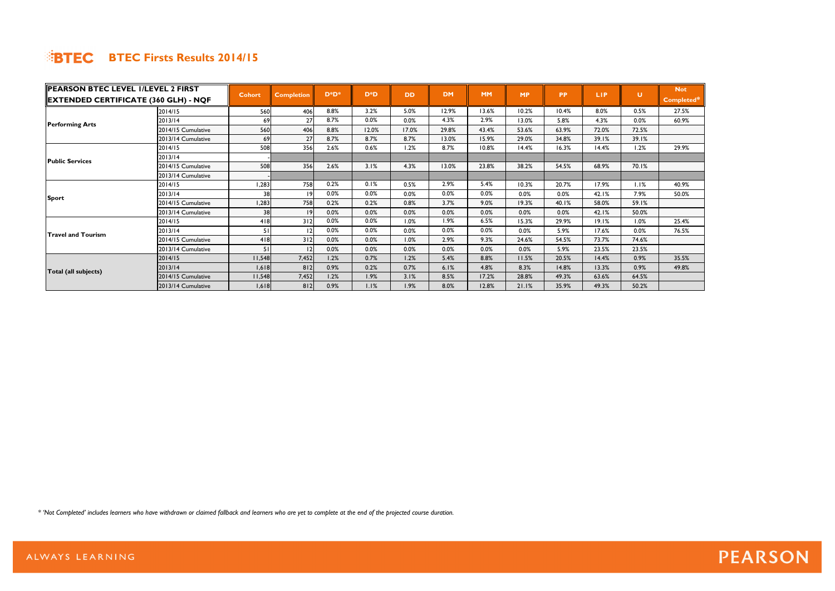| <b>PEARSON BTEC LEVEL I/LEVEL 2 FIRST</b>   |                    |               |                   |          |        |           |           |           |           |           |            |       | <b>Not</b> |
|---------------------------------------------|--------------------|---------------|-------------------|----------|--------|-----------|-----------|-----------|-----------|-----------|------------|-------|------------|
| <b>EXTENDED CERTIFICATE (360 GLH) - NQF</b> |                    | <b>Cohort</b> | <b>Completion</b> | $D^*D^*$ | $D^*D$ | <b>DD</b> | <b>DM</b> | <b>MM</b> | <b>MP</b> | <b>PP</b> | <b>LIP</b> | U     | Completed* |
|                                             | 2014/15            | 560           | 406               | 8.8%     | 3.2%   | 5.0%      | 12.9%     | 13.6%     | 10.2%     | 10.4%     | 8.0%       | 0.5%  | 27.5%      |
|                                             | 2013/14            | 69            | 27                | 8.7%     | 0.0%   | 0.0%      | 4.3%      | 2.9%      | 13.0%     | 5.8%      | 4.3%       | 0.0%  | 60.9%      |
| <b>Performing Arts</b>                      | 2014/15 Cumulative | 560           | 406               | 8.8%     | 12.0%  | 17.0%     | 29.8%     | 43.4%     | 53.6%     | 63.9%     | 72.0%      | 72.5% |            |
|                                             | 2013/14 Cumulative | 69            | 27                | 8.7%     | 8.7%   | 8.7%      | 13.0%     | 15.9%     | 29.0%     | 34.8%     | 39.1%      | 39.1% |            |
|                                             | 2014/15            | 508           | 356               | 2.6%     | 0.6%   | 1.2%      | 8.7%      | 10.8%     | 14.4%     | 16.3%     | 14.4%      | 1.2%  | 29.9%      |
| <b>Public Services</b>                      | 2013/14            |               |                   |          |        |           |           |           |           |           |            |       |            |
|                                             | 2014/15 Cumulative | 508           | 356               | 2.6%     | 3.1%   | 4.3%      | 13.0%     | 23.8%     | 38.2%     | 54.5%     | 68.9%      | 70.1% |            |
|                                             | 2013/14 Cumulative |               |                   |          |        |           |           |           |           |           |            |       |            |
|                                             | 2014/15            | 1,283         | 758               | 0.2%     | 0.1%   | 0.5%      | 2.9%      | 5.4%      | 10.3%     | 20.7%     | 17.9%      | 1.1%  | 40.9%      |
|                                             | 2013/14            | 38            | 19                | 0.0%     | 0.0%   | 0.0%      | 0.0%      | 0.0%      | 0.0%      | 0.0%      | 42.1%      | 7.9%  | 50.0%      |
| Sport                                       | 2014/15 Cumulative | 1,283         | 758               | 0.2%     | 0.2%   | 0.8%      | 3.7%      | 9.0%      | 19.3%     | 40.1%     | 58.0%      | 59.1% |            |
|                                             | 2013/14 Cumulative | 38            | 19                | 0.0%     | 0.0%   | 0.0%      | 0.0%      | 0.0%      | 0.0%      | 0.0%      | 42.1%      | 50.0% |            |
|                                             | 2014/15            | 418           | 312               | 0.0%     | 0.0%   | 1.0%      | 1.9%      | 6.5%      | 15.3%     | 29.9%     | 19.1%      | 1.0%  | 25.4%      |
| <b>Travel and Tourism</b>                   | 2013/14            | 51            |                   | 0.0%     | 0.0%   | 0.0%      | 0.0%      | 0.0%      | 0.0%      | 5.9%      | 17.6%      | 0.0%  | 76.5%      |
|                                             | 2014/15 Cumulative | 418           | 312               | 0.0%     | 0.0%   | 1.0%      | 2.9%      | 9.3%      | 24.6%     | 54.5%     | 73.7%      | 74.6% |            |
|                                             | 2013/14 Cumulative | 51            | 12                | 0.0%     | 0.0%   | 0.0%      | 0.0%      | 0.0%      | 0.0%      | 5.9%      | 23.5%      | 23.5% |            |
|                                             | 2014/15            | 11,548        | 7,452             | 1.2%     | 0.7%   | 1.2%      | 5.4%      | 8.8%      | 11.5%     | 20.5%     | 14.4%      | 0.9%  | 35.5%      |
| Total (all subjects)                        | 2013/14            | 1,618         | 812               | 0.9%     | 0.2%   | 0.7%      | 6.1%      | 4.8%      | 8.3%      | 14.8%     | 13.3%      | 0.9%  | 49.8%      |
|                                             | 2014/15 Cumulative | 11,548        | 7,452             | 1.2%     | 1.9%   | 3.1%      | 8.5%      | 17.2%     | 28.8%     | 49.3%     | 63.6%      | 64.5% |            |
|                                             | 2013/14 Cumulative | 1,618         | 812               | 0.9%     | 1.1%   | 1.9%      | 8.0%      | 12.8%     | 21.1%     | 35.9%     | 49.3%      | 50.2% |            |

*\* 'Not Completed' includes learners who have withdrawn or claimed fallback and learners who are yet to complete at the end of the projected course duration.*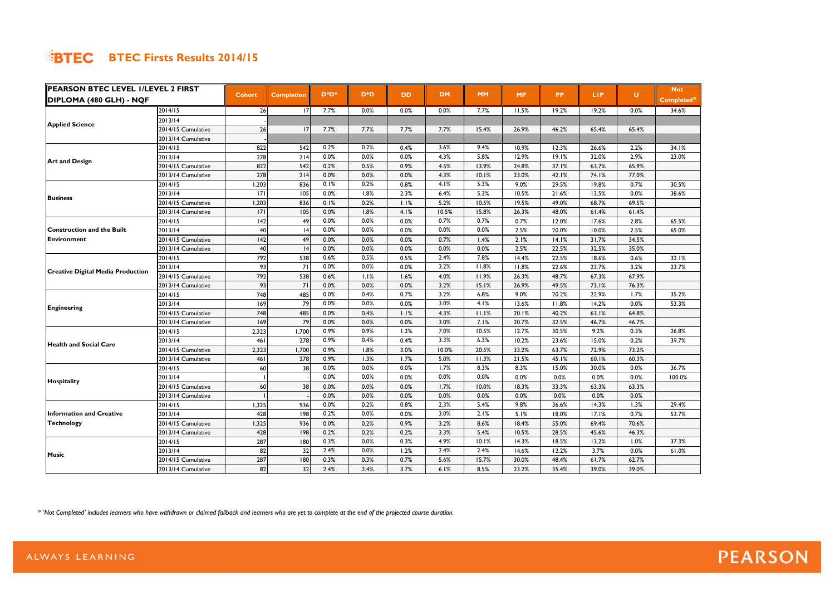| <b>PEARSON BTEC LEVEL I/LEVEL 2 FIRST</b>                                                                                  |                    |               |                   |          |        |           |           |           | <b>MP</b> |           |       | U.    | <b>Not</b> |
|----------------------------------------------------------------------------------------------------------------------------|--------------------|---------------|-------------------|----------|--------|-----------|-----------|-----------|-----------|-----------|-------|-------|------------|
| ∥DIPLOMA (480 GLH) - NQF                                                                                                   |                    | <b>Cohort</b> | <b>Completion</b> | $D^*D^*$ | $D^*D$ | <b>DD</b> | <b>DM</b> | <b>MM</b> |           | <b>PP</b> | LIP.  |       | Completed* |
|                                                                                                                            | 2014/15            | 26            | 17                | 7.7%     | 0.0%   | 0.0%      | 0.0%      | 7.7%      | 11.5%     | 19.2%     | 19.2% | 0.0%  | 34.6%      |
| <b>Applied Science</b>                                                                                                     | 2013/14            |               |                   |          |        |           |           |           |           |           |       |       |            |
|                                                                                                                            | 2014/15 Cumulative | 26            | 17                | 7.7%     | 7.7%   | 7.7%      | 7.7%      | 15.4%     | 26.9%     | 46.2%     | 65.4% | 65.4% |            |
|                                                                                                                            | 2013/14 Cumulative |               |                   |          |        |           |           |           |           |           |       |       |            |
|                                                                                                                            | 2014/15            | 822           | 542               | 0.2%     | 0.2%   | 0.4%      | 3.6%      | 9.4%      | 10.9%     | 12.3%     | 26.6% | 2.2%  | 34.1%      |
| <b>Art and Design</b>                                                                                                      | 2013/14            | 278           | 214               | 0.0%     | 0.0%   | 0.0%      | 4.3%      | 5.8%      | 12.9%     | 19.1%     | 32.0% | 2.9%  | 23.0%      |
|                                                                                                                            | 2014/15 Cumulative | 822           | 542               | 0.2%     | 0.5%   | 0.9%      | 4.5%      | 13.9%     | 24.8%     | 37.1%     | 63.7% | 65.9% |            |
|                                                                                                                            | 2013/14 Cumulative | 278           | 214               | 0.0%     | 0.0%   | 0.0%      | 4.3%      | 10.1%     | 23.0%     | 42.1%     | 74.1% | 77.0% |            |
|                                                                                                                            | 2014/15            | 1,203         | 836               | 0.1%     | 0.2%   | 0.8%      | 4.1%      | 5.3%      | 9.0%      | 29.5%     | 19.8% | 0.7%  | 30.5%      |
| <b>Business</b>                                                                                                            | 2013/14            | 7             | 105               | 0.0%     | 1.8%   | 2.3%      | 6.4%      | 5.3%      | 10.5%     | 21.6%     | 13.5% | 0.0%  | 38.6%      |
|                                                                                                                            | 2014/15 Cumulative | 1,203         | 836               | 0.1%     | 0.2%   | 1.1%      | 5.2%      | 10.5%     | 19.5%     | 49.0%     | 68.7% | 69.5% |            |
|                                                                                                                            | 2013/14 Cumulative | 7             | 105               | 0.0%     | 1.8%   | 4.1%      | 10.5%     | 15.8%     | 26.3%     | 48.0%     | 61.4% | 61.4% |            |
|                                                                                                                            | 2014/15            | 42            | 49I               | 0.0%     | 0.0%   | 0.0%      | 0.7%      | 0.7%      | 0.7%      | 12.0%     | 17.6% | 2.8%  | 65.5%      |
| <b>Construction and the Built</b>                                                                                          | 2013/14            | 40            | 4                 | 0.0%     | 0.0%   | 0.0%      | 0.0%      | 0.0%      | 2.5%      | 20.0%     | 10.0% | 2.5%  | 65.0%      |
| <b>Environment</b>                                                                                                         | 2014/15 Cumulative | 142           | 49                | 0.0%     | 0.0%   | 0.0%      | 0.7%      | 1.4%      | 2.1%      | 14.1%     | 31.7% | 34.5% |            |
|                                                                                                                            | 2013/14 Cumulative | 40            | 4                 | 0.0%     | 0.0%   | 0.0%      | 0.0%      | 0.0%      | 2.5%      | 22.5%     | 32.5% | 35.0% |            |
| <b>Creative Digital Media Production</b>                                                                                   | 2014/15            | 792           | 538               | 0.6%     | 0.5%   | 0.5%      | 2.4%      | 7.8%      | 14.4%     | 22.5%     | 18.6% | 0.6%  | 32.1%      |
|                                                                                                                            | 2013/14            | 93            | 71                | 0.0%     | 0.0%   | 0.0%      | 3.2%      | 11.8%     | 11.8%     | 22.6%     | 23.7% | 3.2%  | 23.7%      |
|                                                                                                                            | 2014/15 Cumulative | 792           | 538               | 0.6%     | 1.1%   | 1.6%      | 4.0%      | 11.9%     | 26.3%     | 48.7%     | 67.3% | 67.9% |            |
|                                                                                                                            | 2013/14 Cumulative | 93            | 71                | 0.0%     | 0.0%   | 0.0%      | 3.2%      | 15.1%     | 26.9%     | 49.5%     | 73.1% | 76.3% |            |
|                                                                                                                            | 2014/15            | 748           | 485               | 0.0%     | 0.4%   | 0.7%      | 3.2%      | 6.8%      | 9.0%      | 20.2%     | 22.9% | 1.7%  | 35.2%      |
|                                                                                                                            | 2013/14            | 169           | 79                | 0.0%     | 0.0%   | 0.0%      | 3.0%      | 4.1%      | 13.6%     | 11.8%     | 14.2% | 0.0%  | 53.3%      |
|                                                                                                                            | 2014/15 Cumulative | 748           | 485               | 0.0%     | 0.4%   | 1.1%      | 4.3%      | 11.1%     | 20.1%     | 40.2%     | 63.1% | 64.8% |            |
|                                                                                                                            | 2013/14 Cumulative | 169           | 79                | 0.0%     | 0.0%   | 0.0%      | 3.0%      | 7.1%      | 20.7%     | 32.5%     | 46.7% | 46.7% |            |
| <b>Engineering</b><br><b>Health and Social Care</b><br>Hospitality<br><b>Information and Creative</b><br><b>Technology</b> | 2014/15            | 2,323         | 1,700             | 0.9%     | 0.9%   | 1.2%      | 7.0%      | 10.5%     | 12.7%     | 30.5%     | 9.2%  | 0.3%  | 26.8%      |
|                                                                                                                            | 2013/14            | 461           | 278               | 0.9%     | 0.4%   | 0.4%      | 3.3%      | 6.3%      | 10.2%     | 23.6%     | 15.0% | 0.2%  | 39.7%      |
|                                                                                                                            | 2014/15 Cumulative | 2,323         | 1,700             | 0.9%     | 1.8%   | 3.0%      | 10.0%     | 20.5%     | 33.2%     | 63.7%     | 72.9% | 73.2% |            |
|                                                                                                                            | 2013/14 Cumulative | 461           | 278               | 0.9%     | 1.3%   | 1.7%      | 5.0%      | 11.3%     | 21.5%     | 45.1%     | 60.1% | 60.3% |            |
|                                                                                                                            | 2014/15            | 60            | 38                | 0.0%     | 0.0%   | 0.0%      | 1.7%      | 8.3%      | 8.3%      | 15.0%     | 30.0% | 0.0%  | 36.7%      |
|                                                                                                                            | 2013/14            |               |                   | 0.0%     | 0.0%   | 0.0%      | 0.0%      | 0.0%      | 0.0%      | 0.0%      | 0.0%  | 0.0%  | 100.0%     |
|                                                                                                                            | 2014/15 Cumulative | 60            | 38                | 0.0%     | 0.0%   | 0.0%      | 1.7%      | 10.0%     | 18.3%     | 33.3%     | 63.3% | 63.3% |            |
|                                                                                                                            | 2013/14 Cumulative |               |                   | 0.0%     | 0.0%   | 0.0%      | 0.0%      | 0.0%      | 0.0%      | 0.0%      | 0.0%  | 0.0%  |            |
|                                                                                                                            | 2014/15            | 1,325         | 936               | 0.0%     | 0.2%   | 0.8%      | 2.3%      | 5.4%      | 9.8%      | 36.6%     | 14.3% | 1.3%  | 29.4%      |
|                                                                                                                            | 2013/14            | 428           | 198               | 0.2%     | 0.0%   | 0.0%      | 3.0%      | 2.1%      | 5.1%      | 18.0%     | 17.1% | 0.7%  | 53.7%      |
|                                                                                                                            | 2014/15 Cumulative | 1,325         | 936               | 0.0%     | 0.2%   | 0.9%      | 3.2%      | 8.6%      | 18.4%     | 55.0%     | 69.4% | 70.6% |            |
|                                                                                                                            | 2013/14 Cumulative | 428           | 198               | 0.2%     | 0.2%   | 0.2%      | 3.3%      | 5.4%      | 10.5%     | 28.5%     | 45.6% | 46.3% |            |
|                                                                                                                            | 2014/15            | 287           | 180               | 0.3%     | 0.0%   | 0.3%      | 4.9%      | 10.1%     | 14.3%     | 18.5%     | 13.2% | 1.0%  | 37.3%      |
|                                                                                                                            | 2013/14            | 82            | 32                | 2.4%     | 0.0%   | 1.2%      | 2.4%      | 2.4%      | 14.6%     | 12.2%     | 3.7%  | 0.0%  | 61.0%      |
| Music                                                                                                                      | 2014/15 Cumulative | 287           | 180               | 0.3%     | 0.3%   | 0.7%      | 5.6%      | 15.7%     | 30.0%     | 48.4%     | 61.7% | 62.7% |            |
|                                                                                                                            | 2013/14 Cumulative | 82            | 32                | 2.4%     | 2.4%   | 3.7%      | 6.1%      | 8.5%      | 23.2%     | 35.4%     | 39.0% | 39.0% |            |

*\* 'Not Completed' includes learners who have withdrawn or claimed fallback and learners who are yet to complete at the end of the projected course duration.*